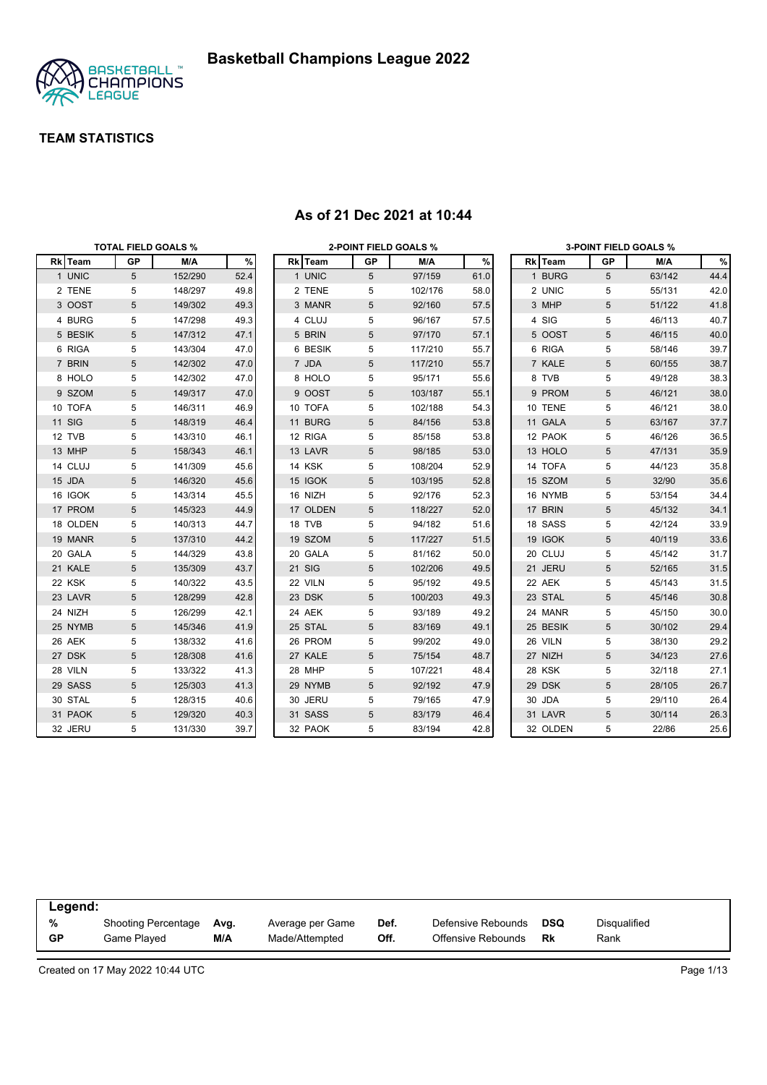

|          | <b>TOTAL FIELD GOALS %</b> |         |      |          | <b>2-POINT FIELD GOALS %</b> |         |      |          |                 | <b>3-POINT FIELD GOALS %</b> |      |
|----------|----------------------------|---------|------|----------|------------------------------|---------|------|----------|-----------------|------------------------------|------|
| Rk Team  | GP                         | M/A     | %    | Rk Team  | GP                           | M/A     | $\%$ | Rk Team  | GP              | M/A                          | %    |
| 1 UNIC   | 5                          | 152/290 | 52.4 | 1 UNIC   | 5                            | 97/159  | 61.0 | 1 BURG   | 5               | 63/142                       | 44.4 |
| 2 TENE   | 5                          | 148/297 | 49.8 | 2 TENE   | 5                            | 102/176 | 58.0 | 2 UNIC   | 5               | 55/131                       | 42.0 |
| 3 OOST   | 5                          | 149/302 | 49.3 | 3 MANR   | 5                            | 92/160  | 57.5 | 3 MHP    | 5               | 51/122                       | 41.8 |
| 4 BURG   | 5                          | 147/298 | 49.3 | 4 CLUJ   | 5                            | 96/167  | 57.5 | 4 SIG    | 5               | 46/113                       | 40.7 |
| 5 BESIK  | $\sqrt{5}$                 | 147/312 | 47.1 | 5 BRIN   | 5                            | 97/170  | 57.1 | 5 OOST   | $5\phantom{.0}$ | 46/115                       | 40.0 |
| 6 RIGA   | 5                          | 143/304 | 47.0 | 6 BESIK  | 5                            | 117/210 | 55.7 | 6 RIGA   | 5               | 58/146                       | 39.7 |
| 7 BRIN   | 5                          | 142/302 | 47.0 | 7 JDA    | 5                            | 117/210 | 55.7 | 7 KALE   | $\sqrt{5}$      | 60/155                       | 38.7 |
| 8 HOLO   | 5                          | 142/302 | 47.0 | 8 HOLO   | 5                            | 95/171  | 55.6 | 8 TVB    | 5               | 49/128                       | 38.3 |
| 9 SZOM   | 5                          | 149/317 | 47.0 | 9 OOST   | 5                            | 103/187 | 55.1 | 9 PROM   | $5\phantom{.0}$ | 46/121                       | 38.0 |
| 10 TOFA  | 5                          | 146/311 | 46.9 | 10 TOFA  | 5                            | 102/188 | 54.3 | 10 TENE  | 5               | 46/121                       | 38.0 |
| 11 SIG   | 5                          | 148/319 | 46.4 | 11 BURG  | 5                            | 84/156  | 53.8 | 11 GALA  | $\sqrt{5}$      | 63/167                       | 37.7 |
| 12 TVB   | 5                          | 143/310 | 46.1 | 12 RIGA  | 5                            | 85/158  | 53.8 | 12 PAOK  | 5               | 46/126                       | 36.5 |
| 13 MHP   | 5                          | 158/343 | 46.1 | 13 LAVR  | 5                            | 98/185  | 53.0 | 13 HOLO  | 5               | 47/131                       | 35.9 |
| 14 CLUJ  | 5                          | 141/309 | 45.6 | 14 KSK   | 5                            | 108/204 | 52.9 | 14 TOFA  | 5               | 44/123                       | 35.8 |
| 15 JDA   | $\sqrt{5}$                 | 146/320 | 45.6 | 15 IGOK  | 5                            | 103/195 | 52.8 | 15 SZOM  | 5               | 32/90                        | 35.6 |
| 16 IGOK  | 5                          | 143/314 | 45.5 | 16 NIZH  | 5                            | 92/176  | 52.3 | 16 NYMB  | 5               | 53/154                       | 34.4 |
| 17 PROM  | 5                          | 145/323 | 44.9 | 17 OLDEN | 5                            | 118/227 | 52.0 | 17 BRIN  | $\sqrt{5}$      | 45/132                       | 34.1 |
| 18 OLDEN | 5                          | 140/313 | 44.7 | 18 TVB   | 5                            | 94/182  | 51.6 | 18 SASS  | 5               | 42/124                       | 33.9 |
| 19 MANR  | 5                          | 137/310 | 44.2 | 19 SZOM  | 5                            | 117/227 | 51.5 | 19 IGOK  | $5\phantom{.0}$ | 40/119                       | 33.6 |
| 20 GALA  | 5                          | 144/329 | 43.8 | 20 GALA  | 5                            | 81/162  | 50.0 | 20 CLUJ  | 5               | 45/142                       | 31.7 |
| 21 KALE  | 5                          | 135/309 | 43.7 | 21 SIG   | 5                            | 102/206 | 49.5 | 21 JERU  | 5               | 52/165                       | 31.5 |
| 22 KSK   | 5                          | 140/322 | 43.5 | 22 VILN  | 5                            | 95/192  | 49.5 | 22 AEK   | 5               | 45/143                       | 31.5 |
| 23 LAVR  | 5                          | 128/299 | 42.8 | 23 DSK   | 5                            | 100/203 | 49.3 | 23 STAL  | $5\phantom{.0}$ | 45/146                       | 30.8 |
| 24 NIZH  | 5                          | 126/299 | 42.1 | 24 AEK   | 5                            | 93/189  | 49.2 | 24 MANR  | 5               | 45/150                       | 30.0 |
| 25 NYMB  | 5                          | 145/346 | 41.9 | 25 STAL  | 5                            | 83/169  | 49.1 | 25 BESIK | 5               | 30/102                       | 29.4 |
| 26 AEK   | 5                          | 138/332 | 41.6 | 26 PROM  | 5                            | 99/202  | 49.0 | 26 VILN  | 5               | 38/130                       | 29.2 |
| 27 DSK   | 5                          | 128/308 | 41.6 | 27 KALE  | 5                            | 75/154  | 48.7 | 27 NIZH  | $5\phantom{.0}$ | 34/123                       | 27.6 |
| 28 VILN  | 5                          | 133/322 | 41.3 | 28 MHP   | 5                            | 107/221 | 48.4 | 28 KSK   | 5               | 32/118                       | 27.1 |
| 29 SASS  | 5                          | 125/303 | 41.3 | 29 NYMB  | 5                            | 92/192  | 47.9 | 29 DSK   | 5               | 28/105                       | 26.7 |
| 30 STAL  | 5                          | 128/315 | 40.6 | 30 JERU  | 5                            | 79/165  | 47.9 | 30 JDA   | 5               | 29/110                       | 26.4 |
| 31 PAOK  | 5                          | 129/320 | 40.3 | 31 SASS  | 5                            | 83/179  | 46.4 | 31 LAVR  | 5               | 30/114                       | 26.3 |
| 32 JERU  | 5                          | 131/330 | 39.7 | 32 PAOK  | 5                            | 83/194  | 42.8 | 32 OLDEN | 5               | 22/86                        | 25.6 |

#### **As of 21 Dec 2021 at 10:44**

| Legend:   |                     |      |                  |      |                    |            |                     |  |
|-----------|---------------------|------|------------------|------|--------------------|------------|---------------------|--|
| %         | Shooting Percentage | Ava. | Average per Game | Def. | Defensive Rebounds | <b>DSQ</b> | <b>Disqualified</b> |  |
| <b>GP</b> | Game Plaved         | M/A  | Made/Attempted   | Off. | Offensive Rebounds | Rk         | Rank                |  |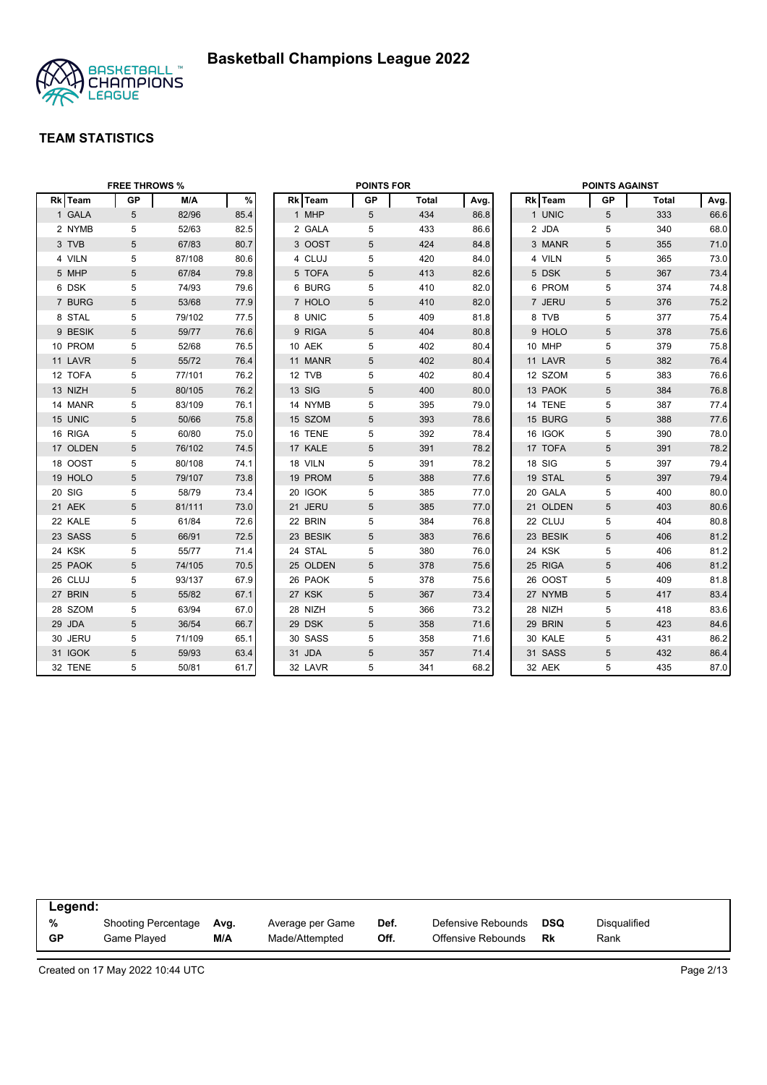

|          | <b>FREE THROWS %</b> |        | <b>POINTS FOR</b> |  |          | <b>POINTS AGAINST</b> |              |      |  |          |    |              |      |
|----------|----------------------|--------|-------------------|--|----------|-----------------------|--------------|------|--|----------|----|--------------|------|
| Rk Team  | <b>GP</b>            | M/A    | $\%$              |  | Rk Team  | <b>GP</b>             | <b>Total</b> | Avg. |  | Rk Team  | GP | <b>Total</b> | Avg. |
| 1 GALA   | 5                    | 82/96  | 85.4              |  | 1 MHP    | 5                     | 434          | 86.8 |  | 1 UNIC   | 5  | 333          | 66.6 |
| 2 NYMB   | 5                    | 52/63  | 82.5              |  | 2 GALA   | 5                     | 433          | 86.6 |  | 2 JDA    | 5  | 340          | 68.0 |
| 3 TVB    | 5                    | 67/83  | 80.7              |  | 3 OOST   | 5                     | 424          | 84.8 |  | 3 MANR   | 5  | 355          | 71.0 |
| 4 VILN   | 5                    | 87/108 | 80.6              |  | 4 CLUJ   | 5                     | 420          | 84.0 |  | 4 VILN   | 5  | 365          | 73.0 |
| 5 MHP    | $\overline{5}$       | 67/84  | 79.8              |  | 5 TOFA   | 5                     | 413          | 82.6 |  | 5 DSK    | 5  | 367          | 73.4 |
| 6 DSK    | 5                    | 74/93  | 79.6              |  | 6 BURG   | 5                     | 410          | 82.0 |  | 6 PROM   | 5  | 374          | 74.8 |
| 7 BURG   | $\overline{5}$       | 53/68  | 77.9              |  | 7 HOLO   | 5                     | 410          | 82.0 |  | 7 JERU   | 5  | 376          | 75.2 |
| 8 STAL   | 5                    | 79/102 | 77.5              |  | 8 UNIC   | 5                     | 409          | 81.8 |  | 8 TVB    | 5  | 377          | 75.4 |
| 9 BESIK  | 5                    | 59/77  | 76.6              |  | 9 RIGA   | 5                     | 404          | 80.8 |  | 9 HOLO   | 5  | 378          | 75.6 |
| 10 PROM  | 5                    | 52/68  | 76.5              |  | 10 AEK   | 5                     | 402          | 80.4 |  | 10 MHP   | 5  | 379          | 75.8 |
| 11 LAVR  | 5                    | 55/72  | 76.4              |  | 11 MANR  | 5                     | 402          | 80.4 |  | 11 LAVR  | 5  | 382          | 76.4 |
| 12 TOFA  | 5                    | 77/101 | 76.2              |  | 12 TVB   | 5                     | 402          | 80.4 |  | 12 SZOM  | 5  | 383          | 76.6 |
| 13 NIZH  | 5                    | 80/105 | 76.2              |  | 13 SIG   | 5                     | 400          | 80.0 |  | 13 PAOK  | 5  | 384          | 76.8 |
| 14 MANR  | 5                    | 83/109 | 76.1              |  | 14 NYMB  | 5                     | 395          | 79.0 |  | 14 TENE  | 5  | 387          | 77.4 |
| 15 UNIC  | $\overline{5}$       | 50/66  | 75.8              |  | 15 SZOM  | 5                     | 393          | 78.6 |  | 15 BURG  | 5  | 388          | 77.6 |
| 16 RIGA  | 5                    | 60/80  | 75.0              |  | 16 TENE  | 5                     | 392          | 78.4 |  | 16 IGOK  | 5  | 390          | 78.0 |
| 17 OLDEN | $\overline{5}$       | 76/102 | 74.5              |  | 17 KALE  | 5                     | 391          | 78.2 |  | 17 TOFA  | 5  | 391          | 78.2 |
| 18 OOST  | 5                    | 80/108 | 74.1              |  | 18 VILN  | 5                     | 391          | 78.2 |  | 18 SIG   | 5  | 397          | 79.4 |
| 19 HOLO  | 5                    | 79/107 | 73.8              |  | 19 PROM  | 5                     | 388          | 77.6 |  | 19 STAL  | 5  | 397          | 79.4 |
| 20 SIG   | 5                    | 58/79  | 73.4              |  | 20 IGOK  | 5                     | 385          | 77.0 |  | 20 GALA  | 5  | 400          | 80.0 |
| 21 AEK   | 5                    | 81/111 | 73.0              |  | 21 JERU  | 5                     | 385          | 77.0 |  | 21 OLDEN | 5  | 403          | 80.6 |
| 22 KALE  | 5                    | 61/84  | 72.6              |  | 22 BRIN  | 5                     | 384          | 76.8 |  | 22 CLUJ  | 5  | 404          | 80.8 |
| 23 SASS  | $\sqrt{5}$           | 66/91  | 72.5              |  | 23 BESIK | $\sqrt{5}$            | 383          | 76.6 |  | 23 BESIK | 5  | 406          | 81.2 |
| 24 KSK   | 5                    | 55/77  | 71.4              |  | 24 STAL  | 5                     | 380          | 76.0 |  | 24 KSK   | 5  | 406          | 81.2 |
| 25 PAOK  | $\overline{5}$       | 74/105 | 70.5              |  | 25 OLDEN | 5                     | 378          | 75.6 |  | 25 RIGA  | 5  | 406          | 81.2 |
| 26 CLUJ  | 5                    | 93/137 | 67.9              |  | 26 PAOK  | 5                     | 378          | 75.6 |  | 26 OOST  | 5  | 409          | 81.8 |
| 27 BRIN  | $5\phantom{.0}$      | 55/82  | 67.1              |  | 27 KSK   | 5                     | 367          | 73.4 |  | 27 NYMB  | 5  | 417          | 83.4 |
| 28 SZOM  | 5                    | 63/94  | 67.0              |  | 28 NIZH  | 5                     | 366          | 73.2 |  | 28 NIZH  | 5  | 418          | 83.6 |
| 29 JDA   | 5                    | 36/54  | 66.7              |  | 29 DSK   | 5                     | 358          | 71.6 |  | 29 BRIN  | 5  | 423          | 84.6 |
| 30 JERU  | 5                    | 71/109 | 65.1              |  | 30 SASS  | 5                     | 358          | 71.6 |  | 30 KALE  | 5  | 431          | 86.2 |
| 31 IGOK  | 5                    | 59/93  | 63.4              |  | 31 JDA   | 5                     | 357          | 71.4 |  | 31 SASS  | 5  | 432          | 86.4 |
| 32 TENE  | 5                    | 50/81  | 61.7              |  | 32 LAVR  | 5                     | 341          | 68.2 |  | 32 AEK   | 5  | 435          | 87.0 |

| Legend:   |                     |      |                  |      |                    |     |              |  |
|-----------|---------------------|------|------------------|------|--------------------|-----|--------------|--|
| %         | Shooting Percentage | Avg. | Average per Game | Def. | Defensive Rebounds | DSQ | Disqualified |  |
| <b>GP</b> | Game Plaved         | M/A  | Made/Attempted   | Off. | Offensive Rebounds | Rk  | Rank         |  |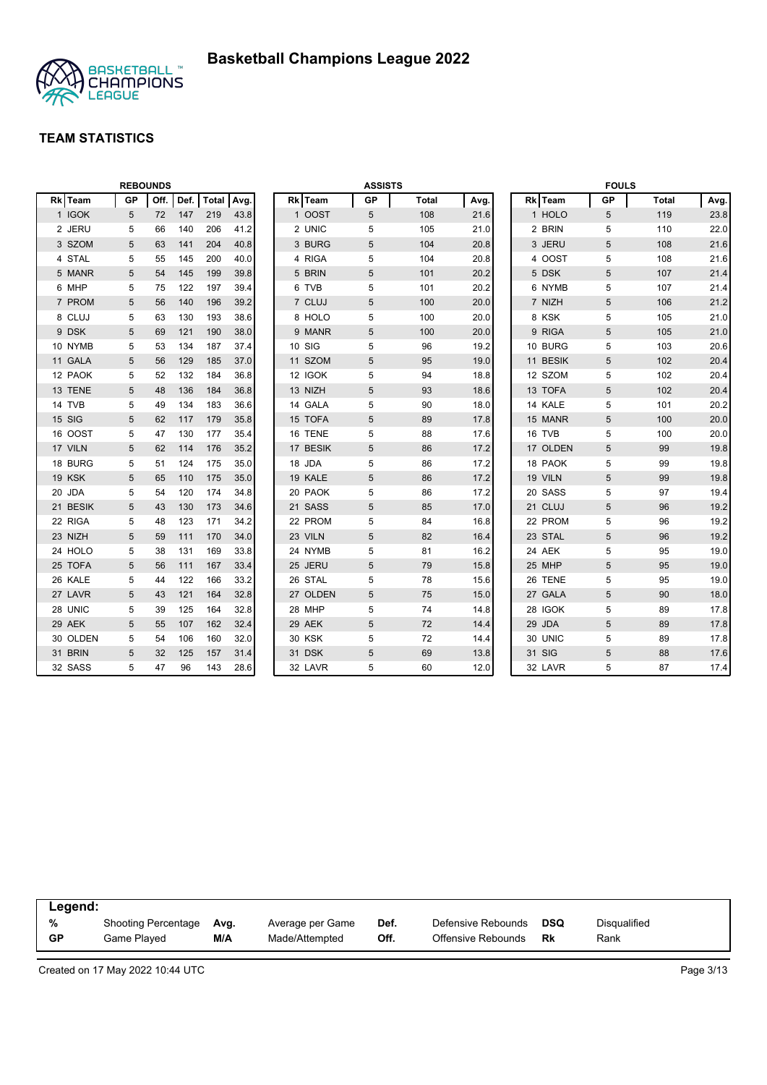

|          |           | <b>REBOUNDS</b> |      |       |      | Rk Team       |            | <b>ASSISTS</b> |      |          | <b>FOULS</b> |              |      |
|----------|-----------|-----------------|------|-------|------|---------------|------------|----------------|------|----------|--------------|--------------|------|
| Rk Team  | <b>GP</b> | Off.            | Def. | Total | Avg. |               | <b>GP</b>  | <b>Total</b>   | Avg. | Rk Team  | <b>GP</b>    | <b>Total</b> | Avg. |
| 1 IGOK   | 5         | 72              | 147  | 219   | 43.8 | 1 OOST        | 5          | 108            | 21.6 | 1 HOLO   | 5            | 119          | 23.8 |
| 2 JERU   | 5         | 66              | 140  | 206   | 41.2 | 2 UNIC        | 5          | 105            | 21.0 | 2 BRIN   | 5            | 110          | 22.0 |
| 3 SZOM   | 5         | 63              | 141  | 204   | 40.8 | 3 BURG        | 5          | 104            | 20.8 | 3 JERU   | 5            | 108          | 21.6 |
| 4 STAL   | 5         | 55              | 145  | 200   | 40.0 | 4 RIGA        | 5          | 104            | 20.8 | 4 OOST   | 5            | 108          | 21.6 |
| 5 MANR   | 5         | 54              | 145  | 199   | 39.8 | 5 BRIN        | 5          | 101            | 20.2 | 5 DSK    | 5            | 107          | 21.4 |
| 6 MHP    | 5         | 75              | 122  | 197   | 39.4 | 6 TVB         | 5          | 101            | 20.2 | 6 NYMB   | 5            | 107          | 21.4 |
| 7 PROM   | 5         | 56              | 140  | 196   | 39.2 | 7 CLUJ        | $\sqrt{5}$ | 100            | 20.0 | 7 NIZH   | 5            | 106          | 21.2 |
| 8 CLUJ   | 5         | 63              | 130  | 193   | 38.6 | 8 HOLO        | 5          | 100            | 20.0 | 8 KSK    | 5            | 105          | 21.0 |
| 9 DSK    | 5         | 69              | 121  | 190   | 38.0 | 9 MANR        | 5          | 100            | 20.0 | 9 RIGA   | 5            | 105          | 21.0 |
| 10 NYMB  | 5         | 53              | 134  | 187   | 37.4 | 10 SIG        | 5          | 96             | 19.2 | 10 BURG  | 5            | 103          | 20.6 |
| 11 GALA  | 5         | 56              | 129  | 185   | 37.0 | 11 SZOM       | 5          | 95             | 19.0 | 11 BESIK | 5            | 102          | 20.4 |
| 12 PAOK  | 5         | 52              | 132  | 184   | 36.8 | 12 IGOK       | 5          | 94             | 18.8 | 12 SZOM  | 5            | 102          | 20.4 |
| 13 TENE  | 5         | 48              | 136  | 184   | 36.8 | 13 NIZH       | 5          | 93             | 18.6 | 13 TOFA  | 5            | 102          | 20.4 |
| 14 TVB   | 5         | 49              | 134  | 183   | 36.6 | 14 GALA       | 5          | 90             | 18.0 | 14 KALE  | 5            | 101          | 20.2 |
| 15 SIG   | 5         | 62              | 117  | 179   | 35.8 | 15 TOFA       | 5          | 89             | 17.8 | 15 MANR  | 5            | 100          | 20.0 |
| 16 OOST  | 5         | 47              | 130  | 177   | 35.4 | 16 TENE       | 5          | 88             | 17.6 | 16 TVB   | 5            | 100          | 20.0 |
| 17 VILN  | 5         | 62              | 114  | 176   | 35.2 | 17 BESIK      | 5          | 86             | 17.2 | 17 OLDEN | 5            | 99           | 19.8 |
| 18 BURG  | 5         | 51              | 124  | 175   | 35.0 | 18 JDA        | 5          | 86             | 17.2 | 18 PAOK  | 5            | 99           | 19.8 |
| 19 KSK   | 5         | 65              | 110  | 175   | 35.0 | 19 KALE       | 5          | 86             | 17.2 | 19 VILN  | 5            | 99           | 19.8 |
| 20 JDA   | 5         | 54              | 120  | 174   | 34.8 | 20 PAOK       | 5          | 86             | 17.2 | 20 SASS  | 5            | 97           | 19.4 |
| 21 BESIK | 5         | 43              | 130  | 173   | 34.6 | 21 SASS       | 5          | 85             | 17.0 | 21 CLUJ  | 5            | 96           | 19.2 |
| 22 RIGA  | 5         | 48              | 123  | 171   | 34.2 | 22 PROM       | 5          | 84             | 16.8 | 22 PROM  | 5            | 96           | 19.2 |
| 23 NIZH  | 5         | 59              | 111  | 170   | 34.0 | 23 VILN       | 5          | 82             | 16.4 | 23 STAL  | 5            | 96           | 19.2 |
| 24 HOLO  | 5         | 38              | 131  | 169   | 33.8 | 24 NYMB       | 5          | 81             | 16.2 | 24 AEK   | 5            | 95           | 19.0 |
| 25 TOFA  | 5         | 56              | 111  | 167   | 33.4 | 25 JERU       | 5          | 79             | 15.8 | 25 MHP   | 5            | 95           | 19.0 |
| 26 KALE  | 5         | 44              | 122  | 166   | 33.2 | 26 STAL       | 5          | 78             | 15.6 | 26 TENE  | 5            | 95           | 19.0 |
| 27 LAVR  | 5         | 43              | 121  | 164   | 32.8 | 27 OLDEN      | 5          | 75             | 15.0 | 27 GALA  | 5            | 90           | 18.0 |
| 28 UNIC  | 5         | 39              | 125  | 164   | 32.8 | 28 MHP        | 5          | 74             | 14.8 | 28 IGOK  | 5            | 89           | 17.8 |
| 29 AEK   | 5         | 55              | 107  | 162   | 32.4 | 29 AEK        | 5          | 72             | 14.4 | 29 JDA   | 5            | 89           | 17.8 |
| 30 OLDEN | 5         | 54              | 106  | 160   | 32.0 | <b>30 KSK</b> | 5          | 72             | 14.4 | 30 UNIC  | 5            | 89           | 17.8 |
| 31 BRIN  | 5         | 32              | 125  | 157   | 31.4 | 31 DSK        | 5          | 69             | 13.8 | 31 SIG   | 5            | 88           | 17.6 |
| 32 SASS  | 5         | 47              | 96   | 143   | 28.6 | 32 LAVR       | 5          | 60             | 12.0 | 32 LAVR  | 5            | 87           | 17.4 |

| Legend:   |                     |      |                  |      |                    |            |              |
|-----------|---------------------|------|------------------|------|--------------------|------------|--------------|
| %         | Shooting Percentage | Avg. | Average per Game | Def. | Defensive Rebounds | <b>DSQ</b> | Disgualified |
| <b>GP</b> | Game Plaved         | M/A  | Made/Attempted   | Off. | Offensive Rebounds | Rk         | Rank         |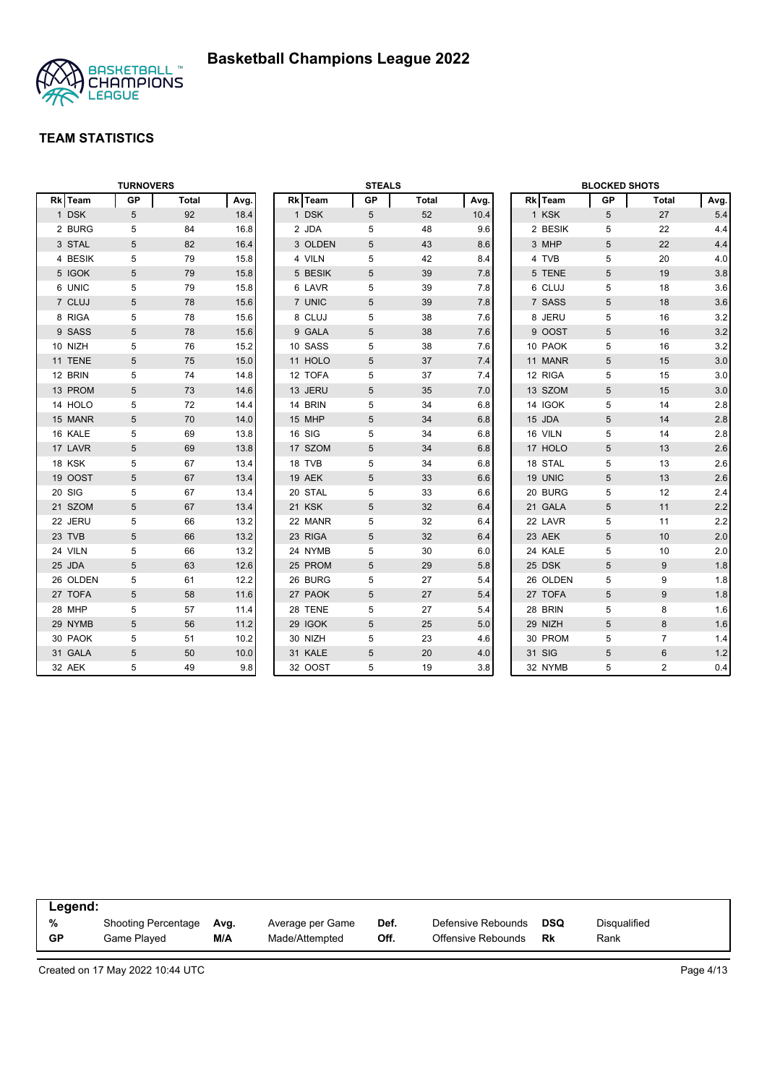

| <b>TURNOVERS</b> |            |       |      | <b>STEALS</b> |         |    |       |      | <b>BLOCKED SHOTS</b> |          |                |                |         |
|------------------|------------|-------|------|---------------|---------|----|-------|------|----------------------|----------|----------------|----------------|---------|
| Rk Team          | <b>GP</b>  | Total | Avg. |               | Rk Team | GP | Total | Avg. |                      | Rk Team  | <b>GP</b>      | <b>Total</b>   | Avg.    |
| 1 DSK            | 5          | 92    | 18.4 |               | 1 DSK   | 5  | 52    | 10.4 |                      | 1 KSK    | 5              | 27             | 5.4     |
| 2 BURG           | 5          | 84    | 16.8 |               | 2 JDA   | 5  | 48    | 9.6  |                      | 2 BESIK  | 5              | 22             | 4.4     |
| 3 STAL           | 5          | 82    | 16.4 |               | 3 OLDEN | 5  | 43    | 8.6  |                      | 3 MHP    | 5              | 22             | 4.4     |
| 4 BESIK          | 5          | 79    | 15.8 |               | 4 VILN  | 5  | 42    | 8.4  |                      | 4 TVB    | 5              | 20             | 4.0     |
| 5 IGOK           | 5          | 79    | 15.8 |               | 5 BESIK | 5  | 39    | 7.8  |                      | 5 TENE   | 5              | 19             | $3.8\,$ |
| 6 UNIC           | 5          | 79    | 15.8 |               | 6 LAVR  | 5  | 39    | 7.8  |                      | 6 CLUJ   | 5              | 18             | 3.6     |
| 7 CLUJ           | 5          | 78    | 15.6 |               | 7 UNIC  | 5  | 39    | 7.8  |                      | 7 SASS   | 5              | 18             | 3.6     |
| 8 RIGA           | 5          | 78    | 15.6 |               | 8 CLUJ  | 5  | 38    | 7.6  |                      | 8 JERU   | 5              | 16             | 3.2     |
| 9 SASS           | 5          | 78    | 15.6 |               | 9 GALA  | 5  | 38    | 7.6  |                      | 9 OOST   | 5              | 16             | 3.2     |
| 10 NIZH          | 5          | 76    | 15.2 |               | 10 SASS | 5  | 38    | 7.6  |                      | 10 PAOK  | 5              | 16             | 3.2     |
| 11 TENE          | 5          | 75    | 15.0 |               | 11 HOLO | 5  | 37    | 7.4  |                      | 11 MANR  | 5              | 15             | 3.0     |
| 12 BRIN          | 5          | 74    | 14.8 |               | 12 TOFA | 5  | 37    | 7.4  |                      | 12 RIGA  | 5              | 15             | 3.0     |
| 13 PROM          | $\sqrt{5}$ | 73    | 14.6 |               | 13 JERU | 5  | 35    | 7.0  |                      | 13 SZOM  | 5              | 15             | 3.0     |
| 14 HOLO          | 5          | 72    | 14.4 |               | 14 BRIN | 5  | 34    | 6.8  |                      | 14 IGOK  | 5              | 14             | 2.8     |
| 15 MANR          | 5          | 70    | 14.0 |               | 15 MHP  | 5  | 34    | 6.8  |                      | 15 JDA   | 5              | 14             | $2.8\,$ |
| 16 KALE          | 5          | 69    | 13.8 |               | 16 SIG  | 5  | 34    | 6.8  |                      | 16 VILN  | 5              | 14             | 2.8     |
| 17 LAVR          | 5          | 69    | 13.8 |               | 17 SZOM | 5  | 34    | 6.8  |                      | 17 HOLO  | 5              | 13             | 2.6     |
| 18 KSK           | 5          | 67    | 13.4 |               | 18 TVB  | 5  | 34    | 6.8  |                      | 18 STAL  | 5              | 13             | 2.6     |
| 19 OOST          | 5          | 67    | 13.4 |               | 19 AEK  | 5  | 33    | 6.6  |                      | 19 UNIC  | 5              | 13             | 2.6     |
| 20 SIG           | 5          | 67    | 13.4 |               | 20 STAL | 5  | 33    | 6.6  |                      | 20 BURG  | 5              | 12             | 2.4     |
| 21 SZOM          | 5          | 67    | 13.4 |               | 21 KSK  | 5  | 32    | 6.4  |                      | 21 GALA  | $\overline{5}$ | 11             | 2.2     |
| 22 JERU          | 5          | 66    | 13.2 |               | 22 MANR | 5  | 32    | 6.4  |                      | 22 LAVR  | 5              | 11             | 2.2     |
| 23 TVB           | $\sqrt{5}$ | 66    | 13.2 |               | 23 RIGA | 5  | 32    | 6.4  |                      | 23 AEK   | 5              | 10             | 2.0     |
| 24 VILN          | 5          | 66    | 13.2 |               | 24 NYMB | 5  | 30    | 6.0  |                      | 24 KALE  | 5              | 10             | 2.0     |
| 25 JDA           | 5          | 63    | 12.6 |               | 25 PROM | 5  | 29    | 5.8  |                      | 25 DSK   | 5              | 9              | 1.8     |
| 26 OLDEN         | 5          | 61    | 12.2 |               | 26 BURG | 5  | 27    | 5.4  |                      | 26 OLDEN | 5              | 9              | 1.8     |
| 27 TOFA          | 5          | 58    | 11.6 |               | 27 PAOK | 5  | 27    | 5.4  |                      | 27 TOFA  | 5              | 9              | 1.8     |
| 28 MHP           | 5          | 57    | 11.4 |               | 28 TENE | 5  | 27    | 5.4  |                      | 28 BRIN  | 5              | 8              | 1.6     |
| 29 NYMB          | 5          | 56    | 11.2 |               | 29 IGOK | 5  | 25    | 5.0  |                      | 29 NIZH  | 5              | 8              | 1.6     |
| 30 PAOK          | 5          | 51    | 10.2 |               | 30 NIZH | 5  | 23    | 4.6  |                      | 30 PROM  | 5              | $\overline{7}$ | 1.4     |
| 31 GALA          | 5          | 50    | 10.0 |               | 31 KALE | 5  | 20    | 4.0  |                      | 31 SIG   | 5              | 6              | 1.2     |
| 32 AEK           | 5          | 49    | 9.8  |               | 32 OOST | 5  | 19    | 3.8  |                      | 32 NYMB  | 5              | $\overline{2}$ | 0.4     |

| Legend:   |                     |      |                  |      |                    |            |              |  |
|-----------|---------------------|------|------------------|------|--------------------|------------|--------------|--|
| %         | Shooting Percentage | Avg. | Average per Game | Def. | Defensive Rebounds | <b>DSQ</b> | Disqualified |  |
| <b>GP</b> | Game Played         | M/A  | Made/Attempted   | Off. | Offensive Rebounds | Rk         | Rank         |  |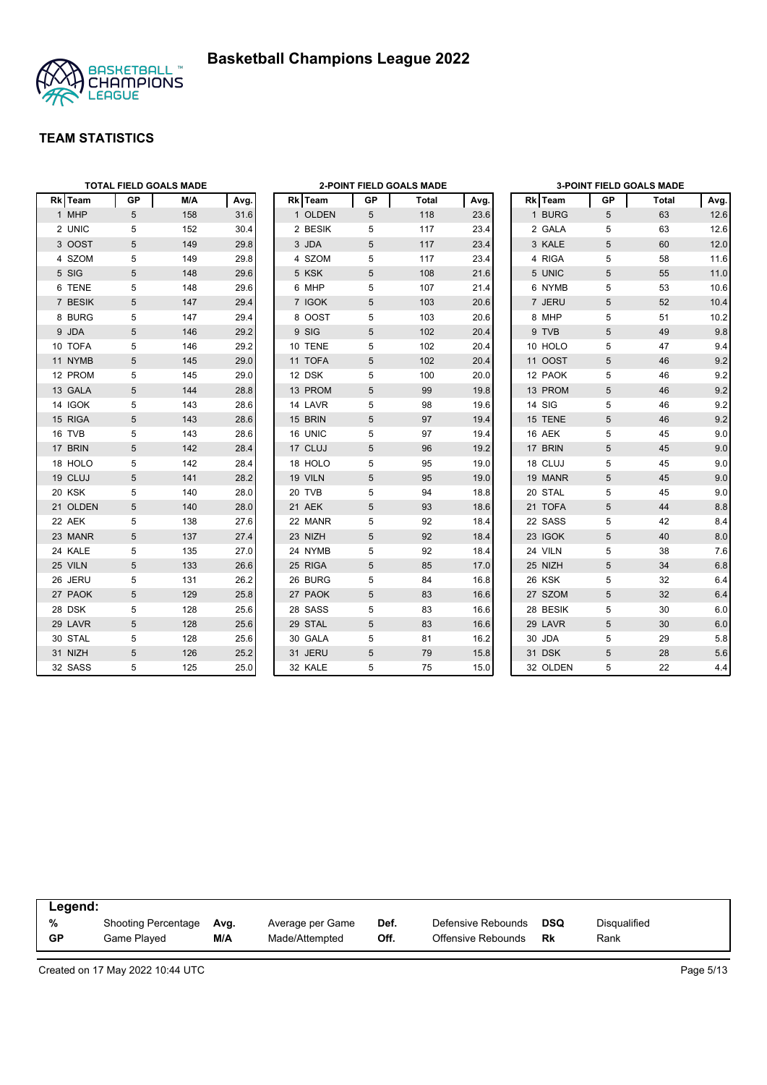



|          |            | <b>TOTAL FIELD GOALS MADE</b> |      |  | <b>2-POINT FIELD GOALS MADE</b> |            |              | <b>3-POINT FIELD GOALS MADE</b> |  |          |                 |       |      |
|----------|------------|-------------------------------|------|--|---------------------------------|------------|--------------|---------------------------------|--|----------|-----------------|-------|------|
| Rk Team  | <b>GP</b>  | M/A                           | Avg. |  | Rk Team                         | GP         | <b>Total</b> | Avg.                            |  | Rk Team  | GP              | Total | Avg. |
| 1 MHP    | 5          | 158                           | 31.6 |  | 1 OLDEN                         | 5          | 118          | 23.6                            |  | 1 BURG   | 5               | 63    | 12.6 |
| 2 UNIC   | 5          | 152                           | 30.4 |  | 2 BESIK                         | 5          | 117          | 23.4                            |  | 2 GALA   | 5               | 63    | 12.6 |
| 3 OOST   | 5          | 149                           | 29.8 |  | 3 JDA                           | 5          | 117          | 23.4                            |  | 3 KALE   | 5               | 60    | 12.0 |
| 4 SZOM   | 5          | 149                           | 29.8 |  | 4 SZOM                          | 5          | 117          | 23.4                            |  | 4 RIGA   | 5               | 58    | 11.6 |
| 5 SIG    | 5          | 148                           | 29.6 |  | 5 KSK                           | 5          | 108          | 21.6                            |  | 5 UNIC   | 5               | 55    | 11.0 |
| 6 TENE   | 5          | 148                           | 29.6 |  | 6 MHP                           | 5          | 107          | 21.4                            |  | 6 NYMB   | 5               | 53    | 10.6 |
| 7 BESIK  | 5          | 147                           | 29.4 |  | 7 IGOK                          | 5          | 103          | 20.6                            |  | 7 JERU   | 5               | 52    | 10.4 |
| 8 BURG   | 5          | 147                           | 29.4 |  | 8 OOST                          | 5          | 103          | 20.6                            |  | 8 MHP    | 5               | 51    | 10.2 |
| 9 JDA    | 5          | 146                           | 29.2 |  | 9 SIG                           | 5          | 102          | 20.4                            |  | 9 TVB    | 5               | 49    | 9.8  |
| 10 TOFA  | 5          | 146                           | 29.2 |  | 10 TENE                         | 5          | 102          | 20.4                            |  | 10 HOLO  | 5               | 47    | 9.4  |
| 11 NYMB  | 5          | 145                           | 29.0 |  | 11 TOFA                         | 5          | 102          | 20.4                            |  | 11 OOST  | 5               | 46    | 9.2  |
| 12 PROM  | 5          | 145                           | 29.0 |  | 12 DSK                          | 5          | 100          | 20.0                            |  | 12 PAOK  | 5               | 46    | 9.2  |
| 13 GALA  | 5          | 144                           | 28.8 |  | 13 PROM                         | 5          | 99           | 19.8                            |  | 13 PROM  | 5               | 46    | 9.2  |
| 14 IGOK  | 5          | 143                           | 28.6 |  | 14 LAVR                         | 5          | 98           | 19.6                            |  | 14 SIG   | 5               | 46    | 9.2  |
| 15 RIGA  | 5          | 143                           | 28.6 |  | 15 BRIN                         | 5          | 97           | 19.4                            |  | 15 TENE  | 5               | 46    | 9.2  |
| 16 TVB   | 5          | 143                           | 28.6 |  | 16 UNIC                         | 5          | 97           | 19.4                            |  | 16 AEK   | 5               | 45    | 9.0  |
| 17 BRIN  | 5          | 142                           | 28.4 |  | 17 CLUJ                         | 5          | 96           | 19.2                            |  | 17 BRIN  | 5               | 45    | 9.0  |
| 18 HOLO  | 5          | 142                           | 28.4 |  | 18 HOLO                         | 5          | 95           | 19.0                            |  | 18 CLUJ  | 5               | 45    | 9.0  |
| 19 CLUJ  | 5          | 141                           | 28.2 |  | 19 VILN                         | 5          | 95           | 19.0                            |  | 19 MANR  | 5               | 45    | 9.0  |
| 20 KSK   | 5          | 140                           | 28.0 |  | 20 TVB                          | 5          | 94           | 18.8                            |  | 20 STAL  | 5               | 45    | 9.0  |
| 21 OLDEN | 5          | 140                           | 28.0 |  | 21 AEK                          | 5          | 93           | 18.6                            |  | 21 TOFA  | 5               | 44    | 8.8  |
| 22 AEK   | 5          | 138                           | 27.6 |  | 22 MANR                         | 5          | 92           | 18.4                            |  | 22 SASS  | 5               | 42    | 8.4  |
| 23 MANR  | $\sqrt{5}$ | 137                           | 27.4 |  | 23 NIZH                         | $\sqrt{5}$ | 92           | 18.4                            |  | 23 IGOK  | 5               | 40    | 8.0  |
| 24 KALE  | 5          | 135                           | 27.0 |  | 24 NYMB                         | 5          | 92           | 18.4                            |  | 24 VILN  | 5               | 38    | 7.6  |
| 25 VILN  | 5          | 133                           | 26.6 |  | 25 RIGA                         | 5          | 85           | 17.0                            |  | 25 NIZH  | 5               | 34    | 6.8  |
| 26 JERU  | 5          | 131                           | 26.2 |  | 26 BURG                         | 5          | 84           | 16.8                            |  | 26 KSK   | 5               | 32    | 6.4  |
| 27 PAOK  | 5          | 129                           | 25.8 |  | 27 PAOK                         | 5          | 83           | 16.6                            |  | 27 SZOM  | $5\phantom{.0}$ | 32    | 6.4  |
| 28 DSK   | 5          | 128                           | 25.6 |  | 28 SASS                         | 5          | 83           | 16.6                            |  | 28 BESIK | 5               | 30    | 6.0  |
| 29 LAVR  | 5          | 128                           | 25.6 |  | 29 STAL                         | 5          | 83           | 16.6                            |  | 29 LAVR  | 5               | 30    | 6.0  |
| 30 STAL  | 5          | 128                           | 25.6 |  | 30 GALA                         | 5          | 81           | 16.2                            |  | 30 JDA   | 5               | 29    | 5.8  |
| 31 NIZH  | 5          | 126                           | 25.2 |  | 31 JERU                         | 5          | 79           | 15.8                            |  | 31 DSK   | 5               | 28    | 5.6  |
| 32 SASS  | 5          | 125                           | 25.0 |  | 32 KALE                         | 5          | 75           | 15.0                            |  | 32 OLDEN | 5               | 22    | 4.4  |

| Legend:   |                            |      |                  |      |                    |            |                     |
|-----------|----------------------------|------|------------------|------|--------------------|------------|---------------------|
| %         | <b>Shooting Percentage</b> | Avg. | Average per Game | Def. | Defensive Rebounds | <b>DSQ</b> | <b>Disqualified</b> |
| <b>GP</b> | Game Played                | M/A  | Made/Attempted   | Off. | Offensive Rebounds | Rk         | Rank                |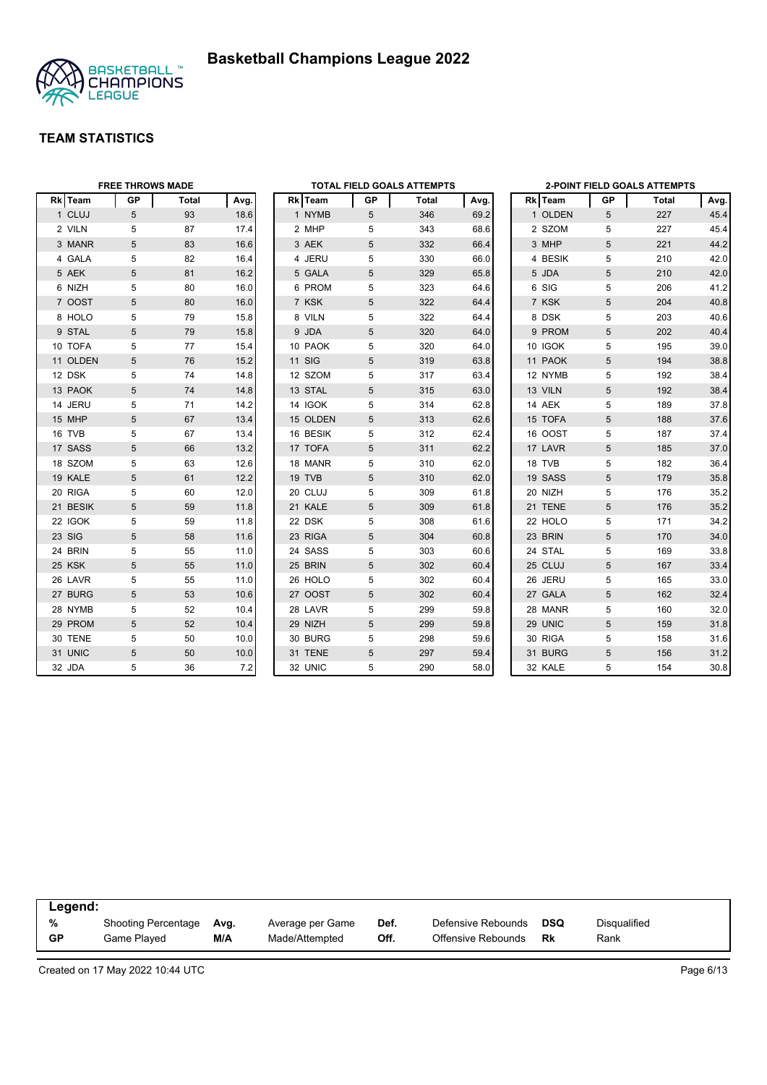



|          | <b>FREE THROWS MADE</b> |       |      | <b>TOTAL FIELD GOALS ATTEMPTS</b> |               |    | 2-POINT FIELD GOALS ATTEMPTS |      |  |         |                 |       |      |
|----------|-------------------------|-------|------|-----------------------------------|---------------|----|------------------------------|------|--|---------|-----------------|-------|------|
| Rk Team  | <b>GP</b>               | Total | Avg. |                                   | Rk Team       | GP | Total                        | Avg. |  | Rk Team | GР              | Total | Avg. |
| 1 CLUJ   | $5\phantom{.0}$         | 93    | 18.6 |                                   | 1 NYMB        | 5  | 346                          | 69.2 |  | 1 OLDEN | 5               | 227   | 45.4 |
| 2 VILN   | 5                       | 87    | 17.4 |                                   | 2 MHP         | 5  | 343                          | 68.6 |  | 2 SZOM  | 5               | 227   | 45.4 |
| 3 MANR   | 5                       | 83    | 16.6 |                                   | 3 AEK         | 5  | 332                          | 66.4 |  | 3 MHP   | 5               | 221   | 44.2 |
| 4 GALA   | 5                       | 82    | 16.4 |                                   | 4 JERU        | 5  | 330                          | 66.0 |  | 4 BESIK | 5               | 210   | 42.0 |
| 5 AEK    | 5                       | 81    | 16.2 |                                   | 5 GALA        | 5  | 329                          | 65.8 |  | 5 JDA   | 5               | 210   | 42.0 |
| 6 NIZH   | 5                       | 80    | 16.0 |                                   | 6 PROM        | 5  | 323                          | 64.6 |  | 6 SIG   | 5               | 206   | 41.2 |
| 7 OOST   | 5                       | 80    | 16.0 |                                   | 7 KSK         | 5  | 322                          | 64.4 |  | 7 KSK   | 5               | 204   | 40.8 |
| 8 HOLO   | 5                       | 79    | 15.8 |                                   | 8 VILN        | 5  | 322                          | 64.4 |  | 8 DSK   | 5               | 203   | 40.6 |
| 9 STAL   | 5                       | 79    | 15.8 |                                   | 9 JDA         | 5  | 320                          | 64.0 |  | 9 PROM  | 5               | 202   | 40.4 |
| 10 TOFA  | 5                       | 77    | 15.4 |                                   | 10 PAOK       | 5  | 320                          | 64.0 |  | 10 IGOK | 5               | 195   | 39.0 |
| 11 OLDEN | 5                       | 76    | 15.2 |                                   | <b>11 SIG</b> | 5  | 319                          | 63.8 |  | 11 PAOK | 5               | 194   | 38.8 |
| 12 DSK   | 5                       | 74    | 14.8 |                                   | 12 SZOM       | 5  | 317                          | 63.4 |  | 12 NYMB | 5               | 192   | 38.4 |
| 13 PAOK  | 5                       | 74    | 14.8 |                                   | 13 STAL       | 5  | 315                          | 63.0 |  | 13 VILN | 5               | 192   | 38.4 |
| 14 JERU  | 5                       | 71    | 14.2 |                                   | 14 IGOK       | 5  | 314                          | 62.8 |  | 14 AEK  | 5               | 189   | 37.8 |
| 15 MHP   | 5                       | 67    | 13.4 |                                   | 15 OLDEN      | 5  | 313                          | 62.6 |  | 15 TOFA | 5               | 188   | 37.6 |
| 16 TVB   | 5                       | 67    | 13.4 |                                   | 16 BESIK      | 5  | 312                          | 62.4 |  | 16 OOST | 5               | 187   | 37.4 |
| 17 SASS  | 5                       | 66    | 13.2 |                                   | 17 TOFA       | 5  | 311                          | 62.2 |  | 17 LAVR | 5               | 185   | 37.0 |
| 18 SZOM  | 5                       | 63    | 12.6 |                                   | 18 MANR       | 5  | 310                          | 62.0 |  | 18 TVB  | 5               | 182   | 36.4 |
| 19 KALE  | 5                       | 61    | 12.2 |                                   | 19 TVB        | 5  | 310                          | 62.0 |  | 19 SASS | 5               | 179   | 35.8 |
| 20 RIGA  | 5                       | 60    | 12.0 |                                   | 20 CLUJ       | 5  | 309                          | 61.8 |  | 20 NIZH | 5               | 176   | 35.2 |
| 21 BESIK | 5                       | 59    | 11.8 |                                   | 21 KALE       | 5  | 309                          | 61.8 |  | 21 TENE | 5               | 176   | 35.2 |
| 22 IGOK  | 5                       | 59    | 11.8 |                                   | 22 DSK        | 5  | 308                          | 61.6 |  | 22 HOLO | 5               | 171   | 34.2 |
| 23 SIG   | 5                       | 58    | 11.6 |                                   | 23 RIGA       | 5  | 304                          | 60.8 |  | 23 BRIN | 5               | 170   | 34.0 |
| 24 BRIN  | 5                       | 55    | 11.0 |                                   | 24 SASS       | 5  | 303                          | 60.6 |  | 24 STAL | 5               | 169   | 33.8 |
| 25 KSK   | 5                       | 55    | 11.0 |                                   | 25 BRIN       | 5  | 302                          | 60.4 |  | 25 CLUJ | 5               | 167   | 33.4 |
| 26 LAVR  | 5                       | 55    | 11.0 |                                   | 26 HOLO       | 5  | 302                          | 60.4 |  | 26 JERU | 5               | 165   | 33.0 |
| 27 BURG  | 5                       | 53    | 10.6 |                                   | 27 OOST       | 5  | 302                          | 60.4 |  | 27 GALA | $5\phantom{.0}$ | 162   | 32.4 |
| 28 NYMB  | 5                       | 52    | 10.4 |                                   | 28 LAVR       | 5  | 299                          | 59.8 |  | 28 MANR | 5               | 160   | 32.0 |
| 29 PROM  | 5                       | 52    | 10.4 |                                   | 29 NIZH       | 5  | 299                          | 59.8 |  | 29 UNIC | 5               | 159   | 31.8 |
| 30 TENE  | 5                       | 50    | 10.0 |                                   | 30 BURG       | 5  | 298                          | 59.6 |  | 30 RIGA | 5               | 158   | 31.6 |
| 31 UNIC  | 5                       | 50    | 10.0 |                                   | 31 TENE       | 5  | 297                          | 59.4 |  | 31 BURG | 5               | 156   | 31.2 |
| 32 JDA   | 5                       | 36    | 7.2  |                                   | 32 UNIC       | 5  | 290                          | 58.0 |  | 32 KALE | 5               | 154   | 30.8 |

| Legend:   |                            |      |                  |      |                    |     |                     |  |
|-----------|----------------------------|------|------------------|------|--------------------|-----|---------------------|--|
| %         | <b>Shooting Percentage</b> | Avg. | Average per Game | Def. | Defensive Rebounds | DSQ | <b>Disqualified</b> |  |
| <b>GP</b> | Game Played                | M/A  | Made/Attempted   | Off. | Offensive Rebounds | Rk  | Rank                |  |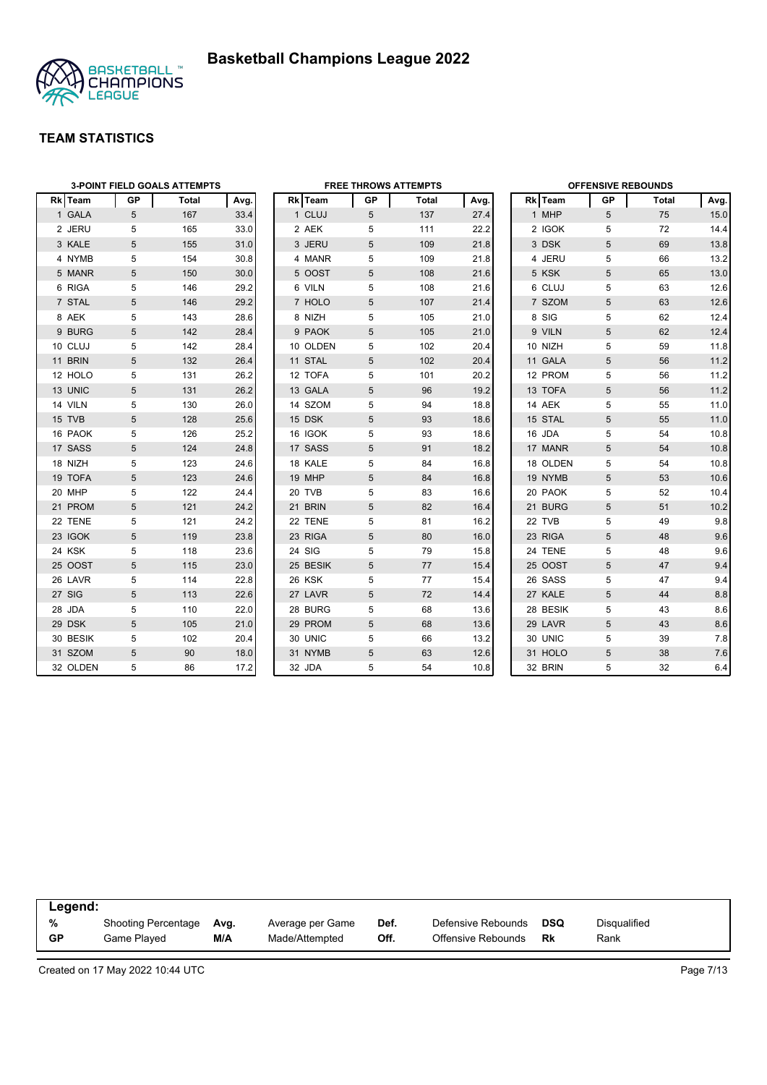

|                |    | <b>3-POINT FIELD GOALS ATTEMPTS</b> |      |          |    | <b>FREE THROWS ATTEMPTS</b> |      |          | <b>OFFENSIVE REBOUNDS</b> |       |      |
|----------------|----|-------------------------------------|------|----------|----|-----------------------------|------|----------|---------------------------|-------|------|
| <b>Rk</b> Team | GP | Total                               | Avg. | Rk Team  | GP | Total                       | Avg. | Rk Team  | GP.                       | Total | Avg. |
| 1 GALA         | 5  | 167                                 | 33.4 | 1 CLUJ   | 5  | 137                         | 27.4 | 1 MHP    | 5                         | 75    | 15.0 |
| 2 JERU         | 5  | 165                                 | 33.0 | 2 AEK    | 5  | 111                         | 22.2 | 2 IGOK   | 5                         | 72    | 14.4 |
| 3 KALE         | 5  | 155                                 | 31.0 | 3 JERU   | 5  | 109                         | 21.8 | 3 DSK    | 5                         | 69    | 13.8 |
| 4 NYMB         | 5  | 154                                 | 30.8 | 4 MANR   | 5  | 109                         | 21.8 | 4 JERU   | 5                         | 66    | 13.2 |
| 5 MANR         | 5  | 150                                 | 30.0 | 5 OOST   | 5  | 108                         | 21.6 | 5 KSK    | 5                         | 65    | 13.0 |
| 6 RIGA         | 5  | 146                                 | 29.2 | 6 VILN   | 5  | 108                         | 21.6 | 6 CLUJ   | 5                         | 63    | 12.6 |
| 7 STAL         | 5  | 146                                 | 29.2 | 7 HOLO   | 5  | 107                         | 21.4 | 7 SZOM   | 5                         | 63    | 12.6 |
| 8 AEK          | 5  | 143                                 | 28.6 | 8 NIZH   | 5  | 105                         | 21.0 | 8 SIG    | 5                         | 62    | 12.4 |
| 9 BURG         | 5  | 142                                 | 28.4 | 9 PAOK   | 5  | 105                         | 21.0 | 9 VILN   | 5                         | 62    | 12.4 |
| 10 CLUJ        | 5  | 142                                 | 28.4 | 10 OLDEN | 5  | 102                         | 20.4 | 10 NIZH  | 5                         | 59    | 11.8 |
| 11 BRIN        | 5  | 132                                 | 26.4 | 11 STAL  | 5  | 102                         | 20.4 | 11 GALA  | 5                         | 56    | 11.2 |
| 12 HOLO        | 5  | 131                                 | 26.2 | 12 TOFA  | 5  | 101                         | 20.2 | 12 PROM  | 5                         | 56    | 11.2 |
| 13 UNIC        | 5  | 131                                 | 26.2 | 13 GALA  | 5  | 96                          | 19.2 | 13 TOFA  | 5                         | 56    | 11.2 |
| 14 VILN        | 5  | 130                                 | 26.0 | 14 SZOM  | 5  | 94                          | 18.8 | 14 AEK   | 5                         | 55    | 11.0 |
| 15 TVB         | 5  | 128                                 | 25.6 | 15 DSK   | 5  | 93                          | 18.6 | 15 STAL  | 5                         | 55    | 11.0 |
| 16 PAOK        | 5  | 126                                 | 25.2 | 16 IGOK  | 5  | 93                          | 18.6 | 16 JDA   | 5                         | 54    | 10.8 |
| 17 SASS        | 5  | 124                                 | 24.8 | 17 SASS  | 5  | 91                          | 18.2 | 17 MANR  | 5                         | 54    | 10.8 |
| 18 NIZH        | 5  | 123                                 | 24.6 | 18 KALE  | 5  | 84                          | 16.8 | 18 OLDEN | 5                         | 54    | 10.8 |
| 19 TOFA        | 5  | 123                                 | 24.6 | 19 MHP   | 5  | 84                          | 16.8 | 19 NYMB  | 5                         | 53    | 10.6 |
| 20 MHP         | 5  | 122                                 | 24.4 | 20 TVB   | 5  | 83                          | 16.6 | 20 PAOK  | 5                         | 52    | 10.4 |
| 21 PROM        | 5  | 121                                 | 24.2 | 21 BRIN  | 5  | 82                          | 16.4 | 21 BURG  | 5                         | 51    | 10.2 |
| 22 TENE        | 5  | 121                                 | 24.2 | 22 TENE  | 5  | 81                          | 16.2 | 22 TVB   | 5                         | 49    | 9.8  |
| 23 IGOK        | 5  | 119                                 | 23.8 | 23 RIGA  | 5  | 80                          | 16.0 | 23 RIGA  | 5                         | 48    | 9.6  |
| 24 KSK         | 5  | 118                                 | 23.6 | 24 SIG   | 5  | 79                          | 15.8 | 24 TENE  | 5                         | 48    | 9.6  |
| 25 OOST        | 5  | 115                                 | 23.0 | 25 BESIK | 5  | 77                          | 15.4 | 25 OOST  | 5                         | 47    | 9.4  |
| 26 LAVR        | 5  | 114                                 | 22.8 | 26 KSK   | 5  | 77                          | 15.4 | 26 SASS  | 5                         | 47    | 9.4  |
| 27 SIG         | 5  | 113                                 | 22.6 | 27 LAVR  | 5  | 72                          | 14.4 | 27 KALE  | 5                         | 44    | 8.8  |
| 28 JDA         | 5  | 110                                 | 22.0 | 28 BURG  | 5  | 68                          | 13.6 | 28 BESIK | 5                         | 43    | 8.6  |
| 29 DSK         | 5  | 105                                 | 21.0 | 29 PROM  | 5  | 68                          | 13.6 | 29 LAVR  | 5                         | 43    | 8.6  |
| 30 BESIK       | 5  | 102                                 | 20.4 | 30 UNIC  | 5  | 66                          | 13.2 | 30 UNIC  | 5                         | 39    | 7.8  |
| 31 SZOM        | 5  | 90                                  | 18.0 | 31 NYMB  | 5  | 63                          | 12.6 | 31 HOLO  | 5                         | 38    | 7.6  |
| 32 OLDEN       | 5  | 86                                  | 17.2 | 32 JDA   | 5  | 54                          | 10.8 | 32 BRIN  | 5                         | 32    | 6.4  |

| Legend:   |                            |      |                  |      |                    |            |              |  |
|-----------|----------------------------|------|------------------|------|--------------------|------------|--------------|--|
| %         | <b>Shooting Percentage</b> | Ava. | Average per Game | Def. | Defensive Rebounds | <b>DSQ</b> | Disgualified |  |
| <b>GP</b> | Game Played                | M/A  | Made/Attempted   | Off. | Offensive Rebounds | Rk         | Rank         |  |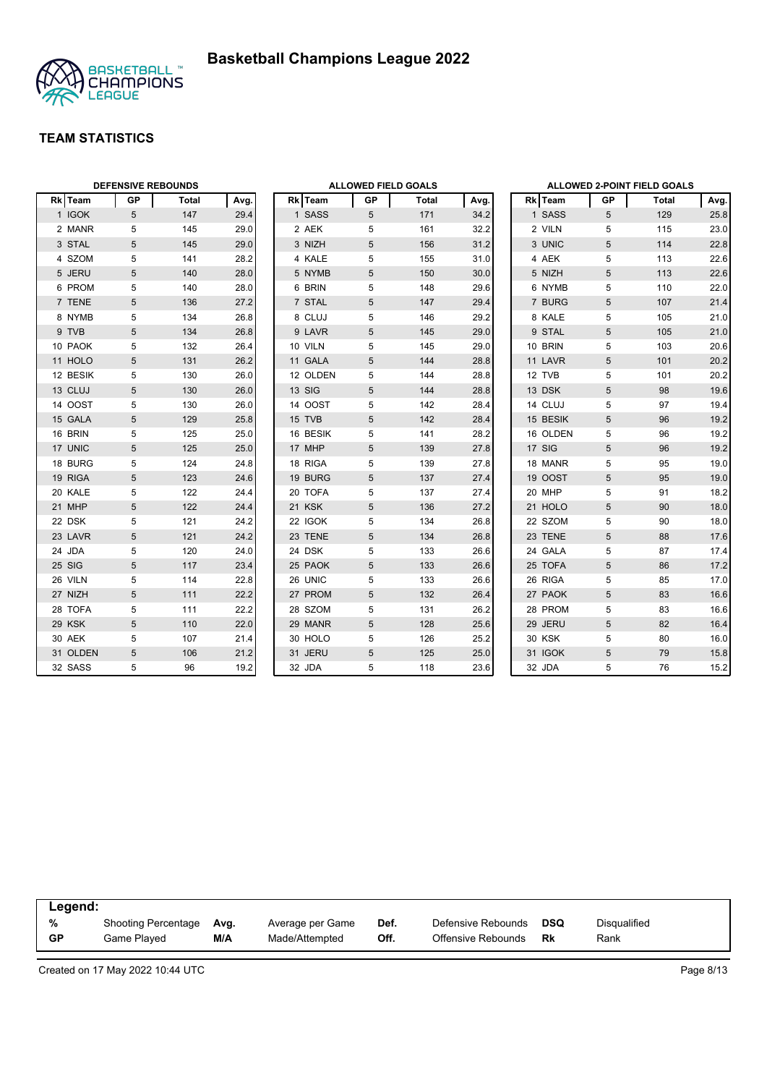



|          | <b>DEFENSIVE REBOUNDS</b> |       |      |          | <b>ALLOWED FIELD GOALS</b> |              |      |               |                 | <b>ALLOWED 2-POINT FIELD GOALS</b> |      |
|----------|---------------------------|-------|------|----------|----------------------------|--------------|------|---------------|-----------------|------------------------------------|------|
| Rk Team  | <b>GP</b>                 | Total | Avg. | Rk Team  | <b>GP</b>                  | <b>Total</b> | Avg. | Rk Team       | GP              | Total                              | Avg. |
| 1 IGOK   | $5\phantom{.0}$           | 147   | 29.4 | 1 SASS   | 5                          | 171          | 34.2 | 1 SASS        | 5               | 129                                | 25.8 |
| 2 MANR   | 5                         | 145   | 29.0 | 2 AEK    | 5                          | 161          | 32.2 | 2 VILN        | 5               | 115                                | 23.0 |
| 3 STAL   | 5                         | 145   | 29.0 | 3 NIZH   | 5                          | 156          | 31.2 | 3 UNIC        | 5               | 114                                | 22.8 |
| 4 SZOM   | 5                         | 141   | 28.2 | 4 KALE   | 5                          | 155          | 31.0 | 4 AEK         | 5               | 113                                | 22.6 |
| 5 JERU   | 5                         | 140   | 28.0 | 5 NYMB   | 5                          | 150          | 30.0 | 5 NIZH        | 5               | 113                                | 22.6 |
| 6 PROM   | 5                         | 140   | 28.0 | 6 BRIN   | 5                          | 148          | 29.6 | 6 NYMB        | 5               | 110                                | 22.0 |
| 7 TENE   | 5                         | 136   | 27.2 | 7 STAL   | 5                          | 147          | 29.4 | 7 BURG        | 5               | 107                                | 21.4 |
| 8 NYMB   | 5                         | 134   | 26.8 | 8 CLUJ   | 5                          | 146          | 29.2 | 8 KALE        | 5               | 105                                | 21.0 |
| 9 TVB    | 5                         | 134   | 26.8 | 9 LAVR   | 5                          | 145          | 29.0 | 9 STAL        | 5               | 105                                | 21.0 |
| 10 PAOK  | 5                         | 132   | 26.4 | 10 VILN  | 5                          | 145          | 29.0 | 10 BRIN       | 5               | 103                                | 20.6 |
| 11 HOLO  | 5                         | 131   | 26.2 | 11 GALA  | 5                          | 144          | 28.8 | 11 LAVR       | 5               | 101                                | 20.2 |
| 12 BESIK | 5                         | 130   | 26.0 | 12 OLDEN | 5                          | 144          | 28.8 | 12 TVB        | 5               | 101                                | 20.2 |
| 13 CLUJ  | 5                         | 130   | 26.0 | 13 SIG   | 5                          | 144          | 28.8 | 13 DSK        | 5               | 98                                 | 19.6 |
| 14 OOST  | 5                         | 130   | 26.0 | 14 OOST  | 5                          | 142          | 28.4 | 14 CLUJ       | 5               | 97                                 | 19.4 |
| 15 GALA  | 5                         | 129   | 25.8 | 15 TVB   | 5                          | 142          | 28.4 | 15 BESIK      | 5               | 96                                 | 19.2 |
| 16 BRIN  | 5                         | 125   | 25.0 | 16 BESIK | 5                          | 141          | 28.2 | 16 OLDEN      | 5               | 96                                 | 19.2 |
| 17 UNIC  | 5                         | 125   | 25.0 | 17 MHP   | 5                          | 139          | 27.8 | 17 SIG        | 5               | 96                                 | 19.2 |
| 18 BURG  | 5                         | 124   | 24.8 | 18 RIGA  | 5                          | 139          | 27.8 | 18 MANR       | 5               | 95                                 | 19.0 |
| 19 RIGA  | 5                         | 123   | 24.6 | 19 BURG  | 5                          | 137          | 27.4 | 19 OOST       | 5               | 95                                 | 19.0 |
| 20 KALE  | 5                         | 122   | 24.4 | 20 TOFA  | 5                          | 137          | 27.4 | 20 MHP        | 5               | 91                                 | 18.2 |
| 21 MHP   | 5                         | 122   | 24.4 | 21 KSK   | 5                          | 136          | 27.2 | 21 HOLO       | 5               | 90                                 | 18.0 |
| 22 DSK   | 5                         | 121   | 24.2 | 22 IGOK  | 5                          | 134          | 26.8 | 22 SZOM       | 5               | 90                                 | 18.0 |
| 23 LAVR  | $\sqrt{5}$                | 121   | 24.2 | 23 TENE  | 5                          | 134          | 26.8 | 23 TENE       | 5               | 88                                 | 17.6 |
| 24 JDA   | 5                         | 120   | 24.0 | 24 DSK   | 5                          | 133          | 26.6 | 24 GALA       | 5               | 87                                 | 17.4 |
| 25 SIG   | 5                         | 117   | 23.4 | 25 PAOK  | 5                          | 133          | 26.6 | 25 TOFA       | 5               | 86                                 | 17.2 |
| 26 VILN  | 5                         | 114   | 22.8 | 26 UNIC  | 5                          | 133          | 26.6 | 26 RIGA       | 5               | 85                                 | 17.0 |
| 27 NIZH  | 5                         | 111   | 22.2 | 27 PROM  | 5                          | 132          | 26.4 | 27 PAOK       | $5\phantom{.0}$ | 83                                 | 16.6 |
| 28 TOFA  | 5                         | 111   | 22.2 | 28 SZOM  | 5                          | 131          | 26.2 | 28 PROM       | 5               | 83                                 | 16.6 |
| 29 KSK   | 5                         | 110   | 22.0 | 29 MANR  | 5                          | 128          | 25.6 | 29 JERU       | 5               | 82                                 | 16.4 |
| 30 AEK   | 5                         | 107   | 21.4 | 30 HOLO  | 5                          | 126          | 25.2 | <b>30 KSK</b> | 5               | 80                                 | 16.0 |
| 31 OLDEN | 5                         | 106   | 21.2 | 31 JERU  | 5                          | 125          | 25.0 | 31 IGOK       | 5               | 79                                 | 15.8 |
| 32 SASS  | 5                         | 96    | 19.2 | 32 JDA   | 5                          | 118          | 23.6 | 32 JDA        | 5               | 76                                 | 15.2 |

| Legend:   |                     |      |                  |      |                    |            |              |
|-----------|---------------------|------|------------------|------|--------------------|------------|--------------|
| %         | Shooting Percentage | Avg. | Average per Game | Def. | Defensive Rebounds | <b>DSQ</b> | Disgualified |
| <b>GP</b> | Game Played         | M/A  | Made/Attempted   | Off. | Offensive Rebounds | Rk         | Rank         |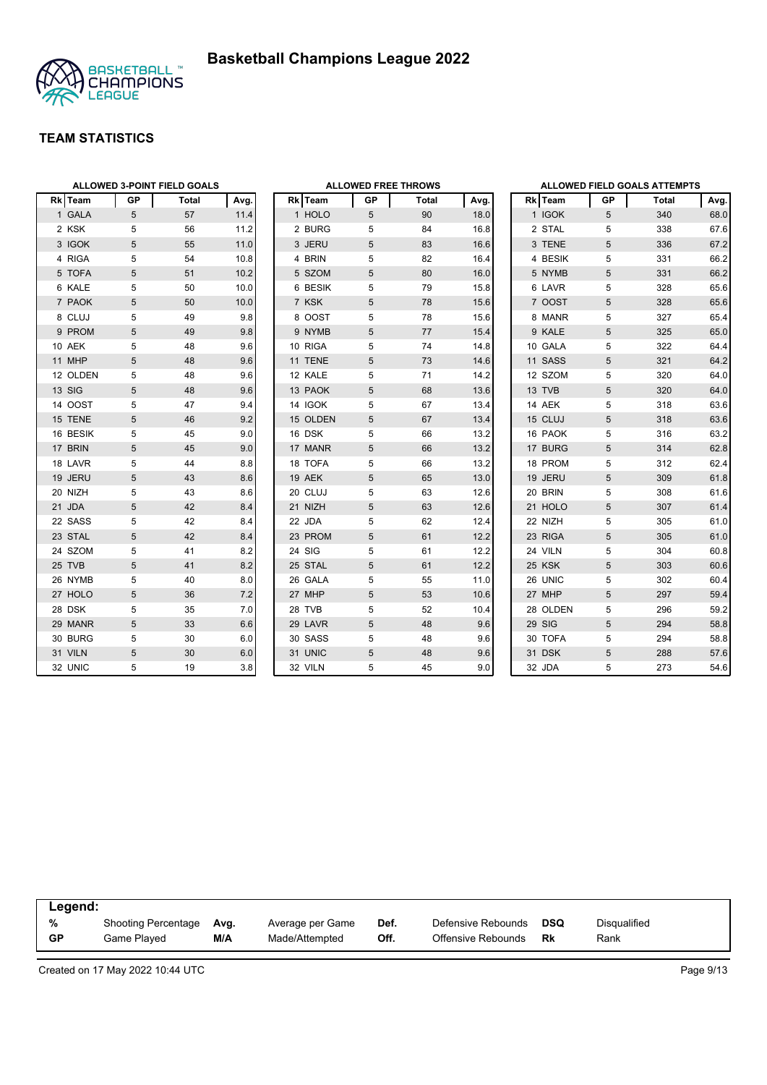

|                |    | <b>ALLOWED 3-POINT FIELD GOALS</b> |      |                |    | <b>ALLOWED FREE THROWS</b> |      |                |    | <b>ALLOWED FIELD GOALS ATTEMPTS</b> |      |
|----------------|----|------------------------------------|------|----------------|----|----------------------------|------|----------------|----|-------------------------------------|------|
| <b>Rk</b> Team | GP | Total                              | Avg. | Rk Team        | GP | Total                      | Avg. | <b>Rk</b> Team | GP | Total                               | Avg. |
| 1 GALA         | 5  | 57                                 | 11.4 | 1 HOLO         | 5  | 90                         | 18.0 | 1 IGOK         | 5  | 340                                 | 68.0 |
| 2 KSK          | 5  | 56                                 | 11.2 | 2 BURG         | 5  | 84                         | 16.8 | 2 STAL         | 5  | 338                                 | 67.6 |
| 3 IGOK         | 5  | 55                                 | 11.0 | 3 JERU         | 5  | 83                         | 16.6 | 3 TENE         | 5  | 336                                 | 67.2 |
| 4 RIGA         | 5  | 54                                 | 10.8 | 4 BRIN         | 5  | 82                         | 16.4 | 4 BESIK        | 5  | 331                                 | 66.2 |
| 5 TOFA         | 5  | 51                                 | 10.2 | 5 SZOM         | 5  | 80                         | 16.0 | 5 NYMB         | 5  | 331                                 | 66.2 |
| 6 KALE         | 5  | 50                                 | 10.0 | 6 BESIK        | 5  | 79                         | 15.8 | 6 LAVR         | 5  | 328                                 | 65.6 |
| 7 PAOK         | 5  | 50                                 | 10.0 | 7 KSK          | 5  | 78                         | 15.6 | 7 OOST         | 5  | 328                                 | 65.6 |
| 8 CLUJ         | 5  | 49                                 | 9.8  | 8 OOST         | 5  | 78                         | 15.6 | 8 MANR         | 5  | 327                                 | 65.4 |
| 9 PROM         | 5  | 49                                 | 9.8  | 9 NYMB         | 5  | 77                         | 15.4 | 9 KALE         | 5  | 325                                 | 65.0 |
| 10 AEK         | 5  | 48                                 | 9.6  | 10 RIGA        | 5  | 74                         | 14.8 | 10 GALA        | 5  | 322                                 | 64.4 |
| 11 MHP         | 5  | 48                                 | 9.6  | 11 TENE        | 5  | 73                         | 14.6 | 11 SASS        | 5  | 321                                 | 64.2 |
| 12 OLDEN       | 5  | 48                                 | 9.6  | 12 KALE        | 5  | 71                         | 14.2 | 12 SZOM        | 5  | 320                                 | 64.0 |
| 13 SIG         | 5  | 48                                 | 9.6  | 13 PAOK        | 5  | 68                         | 13.6 | 13 TVB         | 5  | 320                                 | 64.0 |
| 14 OOST        | 5  | 47                                 | 9.4  | <b>14 IGOK</b> | 5  | 67                         | 13.4 | 14 AEK         | 5  | 318                                 | 63.6 |
| 15 TENE        | 5  | 46                                 | 9.2  | 15 OLDEN       | 5  | 67                         | 13.4 | 15 CLUJ        | 5  | 318                                 | 63.6 |
| 16 BESIK       | 5  | 45                                 | 9.0  | 16 DSK         | 5  | 66                         | 13.2 | 16 PAOK        | 5  | 316                                 | 63.2 |
| 17 BRIN        | 5  | 45                                 | 9.0  | 17 MANR        | 5  | 66                         | 13.2 | 17 BURG        | 5  | 314                                 | 62.8 |
| 18 LAVR        | 5  | 44                                 | 8.8  | 18 TOFA        | 5  | 66                         | 13.2 | 18 PROM        | 5  | 312                                 | 62.4 |
| 19 JERU        | 5  | 43                                 | 8.6  | 19 AEK         | 5  | 65                         | 13.0 | 19 JERU        | 5  | 309                                 | 61.8 |
| 20 NIZH        | 5  | 43                                 | 8.6  | 20 CLUJ        | 5  | 63                         | 12.6 | 20 BRIN        | 5  | 308                                 | 61.6 |
| 21 JDA         | 5  | 42                                 | 8.4  | 21 NIZH        | 5  | 63                         | 12.6 | 21 HOLO        | 5  | 307                                 | 61.4 |
| 22 SASS        | 5  | 42                                 | 8.4  | 22 JDA         | 5  | 62                         | 12.4 | 22 NIZH        | 5  | 305                                 | 61.0 |
| 23 STAL        | 5  | 42                                 | 8.4  | 23 PROM        | 5  | 61                         | 12.2 | 23 RIGA        | 5  | 305                                 | 61.0 |
| 24 SZOM        | 5  | 41                                 | 8.2  | 24 SIG         | 5  | 61                         | 12.2 | 24 VILN        | 5  | 304                                 | 60.8 |
| 25 TVB         | 5  | 41                                 | 8.2  | 25 STAL        | 5  | 61                         | 12.2 | 25 KSK         | 5  | 303                                 | 60.6 |
| 26 NYMB        | 5  | 40                                 | 8.0  | 26 GALA        | 5  | 55                         | 11.0 | 26 UNIC        | 5  | 302                                 | 60.4 |
| 27 HOLO        | 5  | 36                                 | 7.2  | 27 MHP         | 5  | 53                         | 10.6 | 27 MHP         | 5  | 297                                 | 59.4 |
| 28 DSK         | 5  | 35                                 | 7.0  | 28 TVB         | 5  | 52                         | 10.4 | 28 OLDEN       | 5  | 296                                 | 59.2 |
| 29 MANR        | 5  | 33                                 | 6.6  | 29 LAVR        | 5  | 48                         | 9.6  | 29 SIG         | 5  | 294                                 | 58.8 |
| 30 BURG        | 5  | 30                                 | 6.0  | 30 SASS        | 5  | 48                         | 9.6  | 30 TOFA        | 5  | 294                                 | 58.8 |
| 31 VILN        | 5  | 30                                 | 6.0  | 31 UNIC        | 5  | 48                         | 9.6  | 31 DSK         | 5  | 288                                 | 57.6 |
| 32 UNIC        | 5  | 19                                 | 3.8  | 32 VILN        | 5  | 45                         | 9.0  | 32 JDA         | 5  | 273                                 | 54.6 |

| Legend: |                     |      |                  |      |                    |     |                     |  |
|---------|---------------------|------|------------------|------|--------------------|-----|---------------------|--|
| %       | Shooting Percentage | Ava. | Average per Game | Def. | Defensive Rebounds | DSQ | <b>Disqualified</b> |  |
| GP      | Game Played         | M/A  | Made/Attempted   | Off. | Offensive Rebounds | Rk  | Rank                |  |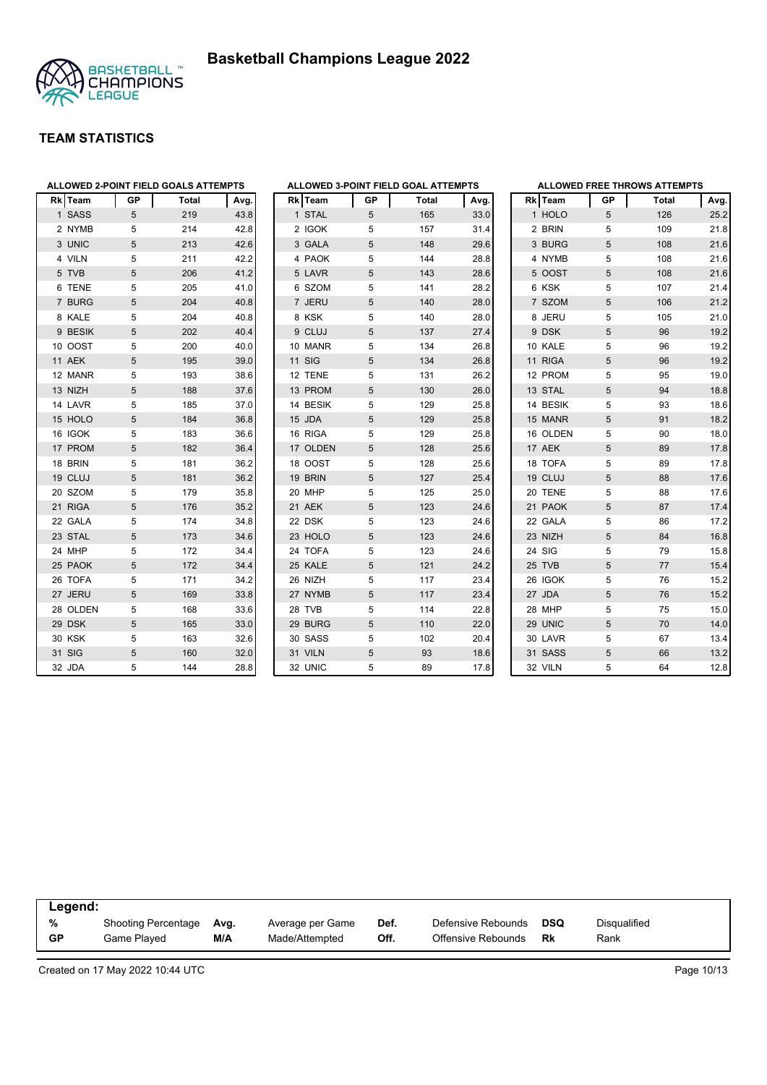



| ALLOWED 2-POINT FIELD GOALS ATTEMPTS |            |       |      | <b>ALLOWED 3-POINT FIELD GOAL ATTEMPTS</b> |    |       |      |          |                 | <b>ALLOWED FREE THROWS ATTEMPTS</b> |      |
|--------------------------------------|------------|-------|------|--------------------------------------------|----|-------|------|----------|-----------------|-------------------------------------|------|
| Rk Team                              | GP         | Total | Avg. | Rk Team                                    | GP | Total | Avg. | Rk Team  | GP              | <b>Total</b>                        | Avg. |
| 1 SASS                               | 5          | 219   | 43.8 | 1 STAL                                     | 5  | 165   | 33.0 | 1 HOLO   | 5               | 126                                 | 25.2 |
| 2 NYMB                               | 5          | 214   | 42.8 | 2 IGOK                                     | 5  | 157   | 31.4 | 2 BRIN   | 5               | 109                                 | 21.8 |
| 3 UNIC                               | 5          | 213   | 42.6 | 3 GALA                                     | 5  | 148   | 29.6 | 3 BURG   | 5               | 108                                 | 21.6 |
| 4 VILN                               | 5          | 211   | 42.2 | 4 PAOK                                     | 5  | 144   | 28.8 | 4 NYMB   | 5               | 108                                 | 21.6 |
| 5 TVB                                | 5          | 206   | 41.2 | 5 LAVR                                     | 5  | 143   | 28.6 | 5 OOST   | 5               | 108                                 | 21.6 |
| 6 TENE                               | 5          | 205   | 41.0 | 6 SZOM                                     | 5  | 141   | 28.2 | 6 KSK    | 5               | 107                                 | 21.4 |
| 7 BURG                               | 5          | 204   | 40.8 | 7 JERU                                     | 5  | 140   | 28.0 | 7 SZOM   | 5               | 106                                 | 21.2 |
| 8 KALE                               | 5          | 204   | 40.8 | 8 KSK                                      | 5  | 140   | 28.0 | 8 JERU   | 5               | 105                                 | 21.0 |
| 9 BESIK                              | 5          | 202   | 40.4 | 9 CLUJ                                     | 5  | 137   | 27.4 | 9 DSK    | 5               | 96                                  | 19.2 |
| 10 OOST                              | 5          | 200   | 40.0 | 10 MANR                                    | 5  | 134   | 26.8 | 10 KALE  | 5               | 96                                  | 19.2 |
| 11 AEK                               | 5          | 195   | 39.0 | 11 SIG                                     | 5  | 134   | 26.8 | 11 RIGA  | 5               | 96                                  | 19.2 |
| 12 MANR                              | 5          | 193   | 38.6 | 12 TENE                                    | 5  | 131   | 26.2 | 12 PROM  | 5               | 95                                  | 19.0 |
| 13 NIZH                              | 5          | 188   | 37.6 | 13 PROM                                    | 5  | 130   | 26.0 | 13 STAL  | 5               | 94                                  | 18.8 |
| 14 LAVR                              | 5          | 185   | 37.0 | 14 BESIK                                   | 5  | 129   | 25.8 | 14 BESIK | 5               | 93                                  | 18.6 |
| 15 HOLO                              | 5          | 184   | 36.8 | 15 JDA                                     | 5  | 129   | 25.8 | 15 MANR  | 5               | 91                                  | 18.2 |
| 16 IGOK                              | 5          | 183   | 36.6 | 16 RIGA                                    | 5  | 129   | 25.8 | 16 OLDEN | 5               | 90                                  | 18.0 |
| 17 PROM                              | $\sqrt{5}$ | 182   | 36.4 | 17 OLDEN                                   | 5  | 128   | 25.6 | 17 AEK   | $\sqrt{5}$      | 89                                  | 17.8 |
| 18 BRIN                              | 5          | 181   | 36.2 | 18 OOST                                    | 5  | 128   | 25.6 | 18 TOFA  | 5               | 89                                  | 17.8 |
| 19 CLUJ                              | 5          | 181   | 36.2 | 19 BRIN                                    | 5  | 127   | 25.4 | 19 CLUJ  | 5               | 88                                  | 17.6 |
| 20 SZOM                              | 5          | 179   | 35.8 | 20 MHP                                     | 5  | 125   | 25.0 | 20 TENE  | 5               | 88                                  | 17.6 |
| 21 RIGA                              | 5          | 176   | 35.2 | 21 AEK                                     | 5  | 123   | 24.6 | 21 PAOK  | 5               | 87                                  | 17.4 |
| 22 GALA                              | 5          | 174   | 34.8 | 22 DSK                                     | 5  | 123   | 24.6 | 22 GALA  | 5               | 86                                  | 17.2 |
| 23 STAL                              | 5          | 173   | 34.6 | 23 HOLO                                    | 5  | 123   | 24.6 | 23 NIZH  | $5\phantom{.0}$ | 84                                  | 16.8 |
| 24 MHP                               | 5          | 172   | 34.4 | 24 TOFA                                    | 5  | 123   | 24.6 | 24 SIG   | 5               | 79                                  | 15.8 |
| 25 PAOK                              | 5          | 172   | 34.4 | 25 KALE                                    | 5  | 121   | 24.2 | 25 TVB   | 5               | 77                                  | 15.4 |
| 26 TOFA                              | 5          | 171   | 34.2 | 26 NIZH                                    | 5  | 117   | 23.4 | 26 IGOK  | 5               | 76                                  | 15.2 |
| 27 JERU                              | 5          | 169   | 33.8 | 27 NYMB                                    | 5  | 117   | 23.4 | 27 JDA   | $5\phantom{.0}$ | 76                                  | 15.2 |
| 28 OLDEN                             | 5          | 168   | 33.6 | 28 TVB                                     | 5  | 114   | 22.8 | 28 MHP   | 5               | 75                                  | 15.0 |
| 29 DSK                               | 5          | 165   | 33.0 | 29 BURG                                    | 5  | 110   | 22.0 | 29 UNIC  | 5               | 70                                  | 14.0 |
| 30 KSK                               | 5          | 163   | 32.6 | 30 SASS                                    | 5  | 102   | 20.4 | 30 LAVR  | 5               | 67                                  | 13.4 |
| 31 SIG                               | 5          | 160   | 32.0 | 31 VILN                                    | 5  | 93    | 18.6 | 31 SASS  | 5               | 66                                  | 13.2 |
| 32 JDA                               | 5          | 144   | 28.8 | 32 UNIC                                    | 5  | 89    | 17.8 | 32 VILN  | 5               | 64                                  | 12.8 |

| Legend:   |                     |      |                  |      |                    |     |                     |
|-----------|---------------------|------|------------------|------|--------------------|-----|---------------------|
| %         | Shooting Percentage | Ava. | Average per Game | Def. | Defensive Rebounds | DSQ | <b>Disqualified</b> |
| <b>GP</b> | Game Plaved         | M/A  | Made/Attempted   | Off. | Offensive Rebounds | Rk  | Rank                |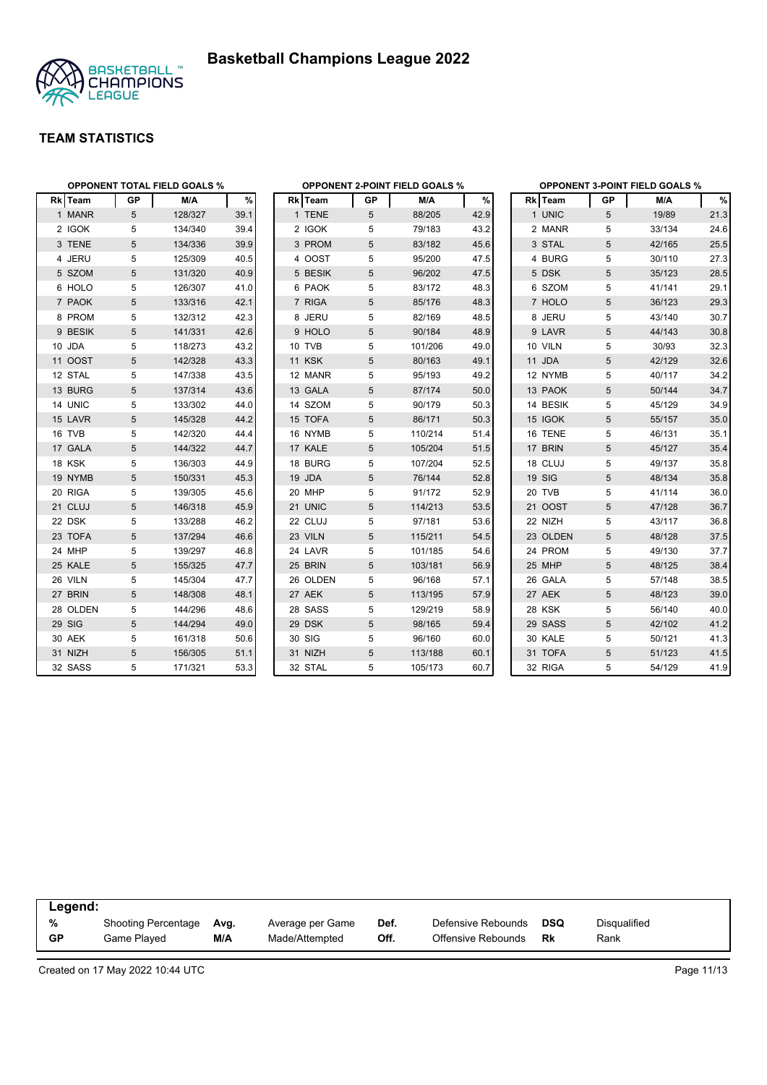



|          | <b>OPPONENT TOTAL FIELD GOALS %</b><br>M/A<br><b>GP</b> |         |      |               |            | <b>OPPONENT 2-POINT FIELD GOALS %</b> |      |               |    | <b>OPPONENT 3-POINT FIELD GOALS %</b> |      |
|----------|---------------------------------------------------------|---------|------|---------------|------------|---------------------------------------|------|---------------|----|---------------------------------------|------|
| Rk Team  |                                                         |         | %    | Rk Team       | GP         | M/A                                   | $\%$ | Rk Team       | GP | M/A                                   | %    |
| 1 MANR   | 5                                                       | 128/327 | 39.1 | 1 TENE        | 5          | 88/205                                | 42.9 | 1 UNIC        | 5  | 19/89                                 | 21.3 |
| 2 IGOK   | 5                                                       | 134/340 | 39.4 | 2 IGOK        | 5          | 79/183                                | 43.2 | 2 MANR        | 5  | 33/134                                | 24.6 |
| 3 TENE   | 5                                                       | 134/336 | 39.9 | 3 PROM        | 5          | 83/182                                | 45.6 | 3 STAL        | 5  | 42/165                                | 25.5 |
| 4 JERU   | 5                                                       | 125/309 | 40.5 | 4 OOST        | 5          | 95/200                                | 47.5 | 4 BURG        | 5  | 30/110                                | 27.3 |
| 5 SZOM   | 5                                                       | 131/320 | 40.9 | 5 BESIK       | $\sqrt{5}$ | 96/202                                | 47.5 | 5 DSK         | 5  | 35/123                                | 28.5 |
| 6 HOLO   | 5                                                       | 126/307 | 41.0 | 6 PAOK        | 5          | 83/172                                | 48.3 | 6 SZOM        | 5  | 41/141                                | 29.1 |
| 7 PAOK   | 5                                                       | 133/316 | 42.1 | 7 RIGA        | 5          | 85/176                                | 48.3 | 7 HOLO        | 5  | 36/123                                | 29.3 |
| 8 PROM   | 5                                                       | 132/312 | 42.3 | 8 JERU        | 5          | 82/169                                | 48.5 | 8 JERU        | 5  | 43/140                                | 30.7 |
| 9 BESIK  | 5                                                       | 141/331 | 42.6 | 9 HOLO        | 5          | 90/184                                | 48.9 | 9 LAVR        | 5  | 44/143                                | 30.8 |
| 10 JDA   | 5                                                       | 118/273 | 43.2 | 10 TVB        | 5          | 101/206                               | 49.0 | 10 VILN       | 5  | 30/93                                 | 32.3 |
| 11 OOST  | 5                                                       | 142/328 | 43.3 | <b>11 KSK</b> | 5          | 80/163                                | 49.1 | 11 JDA        | 5  | 42/129                                | 32.6 |
| 12 STAL  | 5                                                       | 147/338 | 43.5 | 12 MANR       | 5          | 95/193                                | 49.2 | 12 NYMB       | 5  | 40/117                                | 34.2 |
| 13 BURG  | 5                                                       | 137/314 | 43.6 | 13 GALA       | 5          | 87/174                                | 50.0 | 13 PAOK       | 5  | 50/144                                | 34.7 |
| 14 UNIC  | 5                                                       | 133/302 | 44.0 | 14 SZOM       | 5          | 90/179                                | 50.3 | 14 BESIK      | 5  | 45/129                                | 34.9 |
| 15 LAVR  | 5                                                       | 145/328 | 44.2 | 15 TOFA       | 5          | 86/171                                | 50.3 | 15 IGOK       | 5  | 55/157                                | 35.0 |
| 16 TVB   | 5                                                       | 142/320 | 44.4 | 16 NYMB       | 5          | 110/214                               | 51.4 | 16 TENE       | 5  | 46/131                                | 35.1 |
| 17 GALA  | 5                                                       | 144/322 | 44.7 | 17 KALE       | 5          | 105/204                               | 51.5 | 17 BRIN       | 5  | 45/127                                | 35.4 |
| 18 KSK   | 5                                                       | 136/303 | 44.9 | 18 BURG       | 5          | 107/204                               | 52.5 | 18 CLUJ       | 5  | 49/137                                | 35.8 |
| 19 NYMB  | 5                                                       | 150/331 | 45.3 | 19 JDA        | 5          | 76/144                                | 52.8 | <b>19 SIG</b> | 5  | 48/134                                | 35.8 |
| 20 RIGA  | 5                                                       | 139/305 | 45.6 | 20 MHP        | 5          | 91/172                                | 52.9 | 20 TVB        | 5  | 41/114                                | 36.0 |
| 21 CLUJ  | 5                                                       | 146/318 | 45.9 | 21 UNIC       | 5          | 114/213                               | 53.5 | 21 OOST       | 5  | 47/128                                | 36.7 |
| 22 DSK   | 5                                                       | 133/288 | 46.2 | 22 CLUJ       | 5          | 97/181                                | 53.6 | 22 NIZH       | 5  | 43/117                                | 36.8 |
| 23 TOFA  | 5                                                       | 137/294 | 46.6 | 23 VILN       | 5          | 115/211                               | 54.5 | 23 OLDEN      | 5  | 48/128                                | 37.5 |
| 24 MHP   | 5                                                       | 139/297 | 46.8 | 24 LAVR       | 5          | 101/185                               | 54.6 | 24 PROM       | 5  | 49/130                                | 37.7 |
| 25 KALE  | 5                                                       | 155/325 | 47.7 | 25 BRIN       | 5          | 103/181                               | 56.9 | 25 MHP        | 5  | 48/125                                | 38.4 |
| 26 VILN  | 5                                                       | 145/304 | 47.7 | 26 OLDEN      | 5          | 96/168                                | 57.1 | 26 GALA       | 5  | 57/148                                | 38.5 |
| 27 BRIN  | 5                                                       | 148/308 | 48.1 | 27 AEK        | 5          | 113/195                               | 57.9 | 27 AEK        | 5  | 48/123                                | 39.0 |
| 28 OLDEN | 5                                                       | 144/296 | 48.6 | 28 SASS       | 5          | 129/219                               | 58.9 | <b>28 KSK</b> | 5  | 56/140                                | 40.0 |
| 29 SIG   | 5                                                       | 144/294 | 49.0 | 29 DSK        | 5          | 98/165                                | 59.4 | 29 SASS       | 5  | 42/102                                | 41.2 |
| 30 AEK   | 5                                                       | 161/318 | 50.6 | 30 SIG        | 5          | 96/160                                | 60.0 | 30 KALE       | 5  | 50/121                                | 41.3 |
| 31 NIZH  | 5                                                       | 156/305 | 51.1 | 31 NIZH       | 5          | 113/188                               | 60.1 | 31 TOFA       | 5  | 51/123                                | 41.5 |
| 32 SASS  | 5                                                       | 171/321 | 53.3 | 32 STAL       | 5          | 105/173                               | 60.7 | 32 RIGA       | 5  | 54/129                                | 41.9 |

| Legend:   |                            |      |                  |      |                    |            |              |  |
|-----------|----------------------------|------|------------------|------|--------------------|------------|--------------|--|
| %         | <b>Shooting Percentage</b> | Avg. | Average per Game | Def. | Defensive Rebounds | <b>DSQ</b> | Disqualified |  |
| <b>GP</b> | Game Played                | M/A  | Made/Attempted   | Off. | Offensive Rebounds | Rk         | Rank         |  |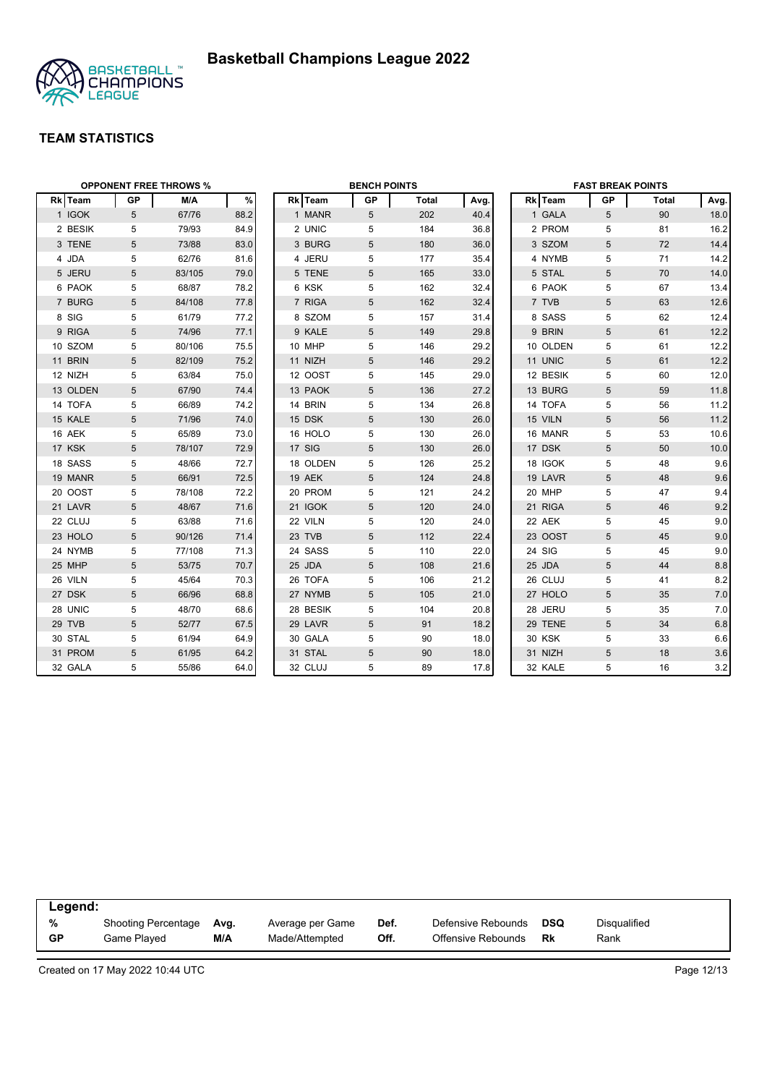

|          |            | <b>OPPONENT FREE THROWS %</b> |      |          | <b>BENCH POINTS</b> |       |      |               | <b>FAST BREAK POINTS</b> |       |      |
|----------|------------|-------------------------------|------|----------|---------------------|-------|------|---------------|--------------------------|-------|------|
| Rk Team  | GP         | M/A                           | %    | Rk Team  | GP                  | Total | Avg. | Rk Team       | GP                       | Total | Avg. |
| 1 IGOK   | 5          | 67/76                         | 88.2 | 1 MANR   | 5                   | 202   | 40.4 | 1 GALA        | 5                        | 90    | 18.0 |
| 2 BESIK  | 5          | 79/93                         | 84.9 | 2 UNIC   | 5                   | 184   | 36.8 | 2 PROM        | 5                        | 81    | 16.2 |
| 3 TENE   | 5          | 73/88                         | 83.0 | 3 BURG   | 5                   | 180   | 36.0 | 3 SZOM        | 5                        | 72    | 14.4 |
| 4 JDA    | 5          | 62/76                         | 81.6 | 4 JERU   | 5                   | 177   | 35.4 | 4 NYMB        | 5                        | 71    | 14.2 |
| 5 JERU   | 5          | 83/105                        | 79.0 | 5 TENE   | 5                   | 165   | 33.0 | 5 STAL        | 5                        | 70    | 14.0 |
| 6 PAOK   | 5          | 68/87                         | 78.2 | 6 KSK    | 5                   | 162   | 32.4 | 6 PAOK        | 5                        | 67    | 13.4 |
| 7 BURG   | 5          | 84/108                        | 77.8 | 7 RIGA   | 5                   | 162   | 32.4 | 7 TVB         | 5                        | 63    | 12.6 |
| 8 SIG    | 5          | 61/79                         | 77.2 | 8 SZOM   | 5                   | 157   | 31.4 | 8 SASS        | 5                        | 62    | 12.4 |
| 9 RIGA   | 5          | 74/96                         | 77.1 | 9 KALE   | 5                   | 149   | 29.8 | 9 BRIN        | 5                        | 61    | 12.2 |
| 10 SZOM  | 5          | 80/106                        | 75.5 | 10 MHP   | 5                   | 146   | 29.2 | 10 OLDEN      | 5                        | 61    | 12.2 |
| 11 BRIN  | 5          | 82/109                        | 75.2 | 11 NIZH  | 5                   | 146   | 29.2 | 11 UNIC       | 5                        | 61    | 12.2 |
| 12 NIZH  | 5          | 63/84                         | 75.0 | 12 OOST  | 5                   | 145   | 29.0 | 12 BESIK      | 5                        | 60    | 12.0 |
| 13 OLDEN | $\sqrt{5}$ | 67/90                         | 74.4 | 13 PAOK  | $\sqrt{5}$          | 136   | 27.2 | 13 BURG       | 5                        | 59    | 11.8 |
| 14 TOFA  | 5          | 66/89                         | 74.2 | 14 BRIN  | 5                   | 134   | 26.8 | 14 TOFA       | 5                        | 56    | 11.2 |
| 15 KALE  | 5          | 71/96                         | 74.0 | 15 DSK   | 5                   | 130   | 26.0 | 15 VILN       | 5                        | 56    | 11.2 |
| 16 AEK   | 5          | 65/89                         | 73.0 | 16 HOLO  | 5                   | 130   | 26.0 | 16 MANR       | 5                        | 53    | 10.6 |
| 17 KSK   | 5          | 78/107                        | 72.9 | 17 SIG   | 5                   | 130   | 26.0 | 17 DSK        | 5                        | 50    | 10.0 |
| 18 SASS  | 5          | 48/66                         | 72.7 | 18 OLDEN | 5                   | 126   | 25.2 | 18 IGOK       | 5                        | 48    | 9.6  |
| 19 MANR  | 5          | 66/91                         | 72.5 | 19 AEK   | 5                   | 124   | 24.8 | 19 LAVR       | 5                        | 48    | 9.6  |
| 20 OOST  | 5          | 78/108                        | 72.2 | 20 PROM  | 5                   | 121   | 24.2 | 20 MHP        | 5                        | 47    | 9.4  |
| 21 LAVR  | 5          | 48/67                         | 71.6 | 21 IGOK  | 5                   | 120   | 24.0 | 21 RIGA       | 5                        | 46    | 9.2  |
| 22 CLUJ  | 5          | 63/88                         | 71.6 | 22 VILN  | 5                   | 120   | 24.0 | 22 AEK        | 5                        | 45    | 9.0  |
| 23 HOLO  | 5          | 90/126                        | 71.4 | 23 TVB   | 5                   | 112   | 22.4 | 23 OOST       | 5                        | 45    | 9.0  |
| 24 NYMB  | 5          | 77/108                        | 71.3 | 24 SASS  | 5                   | 110   | 22.0 | 24 SIG        | 5                        | 45    | 9.0  |
| 25 MHP   | 5          | 53/75                         | 70.7 | 25 JDA   | 5                   | 108   | 21.6 | 25 JDA        | 5                        | 44    | 8.8  |
| 26 VILN  | 5          | 45/64                         | 70.3 | 26 TOFA  | 5                   | 106   | 21.2 | 26 CLUJ       | 5                        | 41    | 8.2  |
| 27 DSK   | 5          | 66/96                         | 68.8 | 27 NYMB  | 5                   | 105   | 21.0 | 27 HOLO       | 5                        | 35    | 7.0  |
| 28 UNIC  | 5          | 48/70                         | 68.6 | 28 BESIK | 5                   | 104   | 20.8 | 28 JERU       | 5                        | 35    | 7.0  |
| 29 TVB   | 5          | 52/77                         | 67.5 | 29 LAVR  | 5                   | 91    | 18.2 | 29 TENE       | 5                        | 34    | 6.8  |
| 30 STAL  | 5          | 61/94                         | 64.9 | 30 GALA  | 5                   | 90    | 18.0 | <b>30 KSK</b> | 5                        | 33    | 6.6  |
| 31 PROM  | 5          | 61/95                         | 64.2 | 31 STAL  | 5                   | 90    | 18.0 | 31 NIZH       | 5                        | 18    | 3.6  |
| 32 GALA  | 5          | 55/86                         | 64.0 | 32 CLUJ  | 5                   | 89    | 17.8 | 32 KALE       | 5                        | 16    | 3.2  |

| Legend:   |                     |      |                  |      |                    |            |              |
|-----------|---------------------|------|------------------|------|--------------------|------------|--------------|
| %         | Shooting Percentage | Ava. | Average per Game | Def. | Defensive Rebounds | <b>DSQ</b> | Disqualified |
| <b>GP</b> | Game Played         | M/A  | Made/Attempted   | Off. | Offensive Rebounds | Rk         | Rank         |